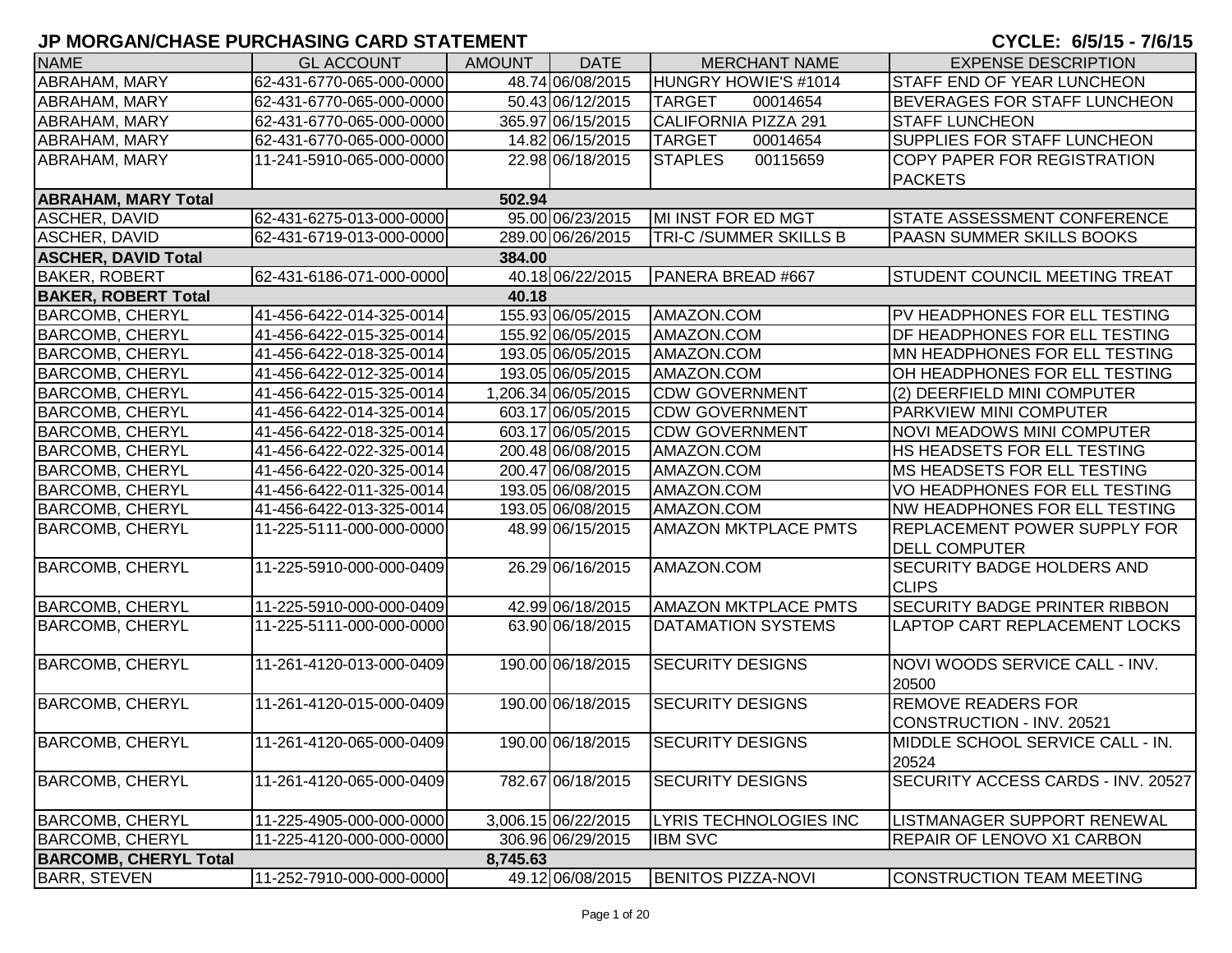| <b>NAME</b>                  | <b>GL ACCOUNT</b>        | <b>AMOUNT</b> | <b>DATE</b>         | <b>MERCHANT NAME</b>        | <b>EXPENSE DESCRIPTION</b>                        |
|------------------------------|--------------------------|---------------|---------------------|-----------------------------|---------------------------------------------------|
| <b>ABRAHAM, MARY</b>         | 62-431-6770-065-000-0000 |               | 48.74 06/08/2015    | HUNGRY HOWIE'S #1014        | STAFF END OF YEAR LUNCHEON                        |
| <b>ABRAHAM, MARY</b>         | 62-431-6770-065-000-0000 |               | 50.43 06/12/2015    | <b>TARGET</b><br>00014654   | BEVERAGES FOR STAFF LUNCHEON                      |
| <b>ABRAHAM, MARY</b>         | 62-431-6770-065-000-0000 |               | 365.97 06/15/2015   | <b>CALIFORNIA PIZZA 291</b> | <b>STAFF LUNCHEON</b>                             |
| <b>ABRAHAM, MARY</b>         | 62-431-6770-065-000-0000 |               | 14.82 06/15/2015    | <b>TARGET</b><br>00014654   | SUPPLIES FOR STAFF LUNCHEON                       |
| ABRAHAM, MARY                | 11-241-5910-065-000-0000 |               | 22.98 06/18/2015    | 00115659<br><b>STAPLES</b>  | COPY PAPER FOR REGISTRATION                       |
|                              |                          |               |                     |                             | <b>PACKETS</b>                                    |
| <b>ABRAHAM, MARY Total</b>   |                          | 502.94        |                     |                             |                                                   |
| <b>ASCHER, DAVID</b>         | 62-431-6275-013-000-0000 |               | 95.00 06/23/2015    | MI INST FOR ED MGT          | <b>STATE ASSESSMENT CONFERENCE</b>                |
| <b>ASCHER, DAVID</b>         | 62-431-6719-013-000-0000 |               | 289.00 06/26/2015   | TRI-C /SUMMER SKILLS B      | PAASN SUMMER SKILLS BOOKS                         |
| <b>ASCHER, DAVID Total</b>   |                          | 384.00        |                     |                             |                                                   |
| <b>BAKER, ROBERT</b>         | 62-431-6186-071-000-0000 |               | 40.18 06/22/2015    | PANERA BREAD #667           | <b>STUDENT COUNCIL MEETING TREAT</b>              |
| <b>BAKER, ROBERT Total</b>   |                          | 40.18         |                     |                             |                                                   |
| <b>BARCOMB, CHERYL</b>       | 41-456-6422-014-325-0014 |               | 155.93 06/05/2015   | AMAZON.COM                  | PV HEADPHONES FOR ELL TESTING                     |
| <b>BARCOMB, CHERYL</b>       | 41-456-6422-015-325-0014 |               | 155.92 06/05/2015   | AMAZON.COM                  | <b>DF HEADPHONES FOR ELL TESTING</b>              |
| <b>BARCOMB, CHERYL</b>       | 41-456-6422-018-325-0014 |               | 193.05 06/05/2015   | AMAZON.COM                  | MN HEADPHONES FOR ELL TESTING                     |
| <b>BARCOMB, CHERYL</b>       | 41-456-6422-012-325-0014 |               | 193.05 06/05/2015   | AMAZON.COM                  | OH HEADPHONES FOR ELL TESTING                     |
| <b>BARCOMB, CHERYL</b>       | 41-456-6422-015-325-0014 |               | 1,206.34 06/05/2015 | <b>CDW GOVERNMENT</b>       | (2) DEERFIELD MINI COMPUTER                       |
| <b>BARCOMB, CHERYL</b>       | 41-456-6422-014-325-0014 |               | 603.17 06/05/2015   | <b>CDW GOVERNMENT</b>       | <b>PARKVIEW MINI COMPUTER</b>                     |
| <b>BARCOMB, CHERYL</b>       | 41-456-6422-018-325-0014 |               | 603.17 06/05/2015   | <b>CDW GOVERNMENT</b>       | <b>NOVI MEADOWS MINI COMPUTER</b>                 |
| <b>BARCOMB, CHERYL</b>       | 41-456-6422-022-325-0014 |               | 200.48 06/08/2015   | AMAZON.COM                  | HS HEADSETS FOR ELL TESTING                       |
| <b>BARCOMB, CHERYL</b>       | 41-456-6422-020-325-0014 |               | 200.47 06/08/2015   | AMAZON.COM                  | MS HEADSETS FOR ELL TESTING                       |
| <b>BARCOMB, CHERYL</b>       | 41-456-6422-011-325-0014 |               | 193.05 06/08/2015   | AMAZON.COM                  | VO HEADPHONES FOR ELL TESTING                     |
| <b>BARCOMB, CHERYL</b>       | 41-456-6422-013-325-0014 |               | 193.05 06/08/2015   | AMAZON.COM                  | NW HEADPHONES FOR ELL TESTING                     |
| <b>BARCOMB, CHERYL</b>       | 11-225-5111-000-000-0000 |               | 48.99 06/15/2015    | <b>AMAZON MKTPLACE PMTS</b> | <b>REPLACEMENT POWER SUPPLY FOR</b>               |
|                              |                          |               |                     |                             | <b>DELL COMPUTER</b>                              |
| <b>BARCOMB, CHERYL</b>       | 11-225-5910-000-000-0409 |               | 26.29 06/16/2015    | AMAZON.COM                  | <b>SECURITY BADGE HOLDERS AND</b><br><b>CLIPS</b> |
| <b>BARCOMB, CHERYL</b>       | 11-225-5910-000-000-0409 |               | 42.99 06/18/2015    | <b>AMAZON MKTPLACE PMTS</b> | SECURITY BADGE PRINTER RIBBON                     |
| <b>BARCOMB, CHERYL</b>       | 11-225-5111-000-000-0000 |               | 63.90 06/18/2015    | DATAMATION SYSTEMS          | LAPTOP CART REPLACEMENT LOCKS                     |
|                              |                          |               |                     |                             |                                                   |
| <b>BARCOMB, CHERYL</b>       | 11-261-4120-013-000-0409 |               | 190.00 06/18/2015   | <b>SECURITY DESIGNS</b>     | NOVI WOODS SERVICE CALL - INV.                    |
|                              |                          |               |                     |                             | 20500                                             |
| <b>BARCOMB, CHERYL</b>       | 11-261-4120-015-000-0409 |               | 190.00 06/18/2015   | <b>SECURITY DESIGNS</b>     | <b>REMOVE READERS FOR</b>                         |
|                              |                          |               |                     |                             | CONSTRUCTION - INV. 20521                         |
| <b>BARCOMB, CHERYL</b>       | 11-261-4120-065-000-0409 |               | 190.00 06/18/2015   | <b>SECURITY DESIGNS</b>     | <b>IMIDDLE SCHOOL SERVICE CALL - IN.</b>          |
|                              |                          |               |                     |                             | 20524                                             |
| <b>BARCOMB, CHERYL</b>       | 11-261-4120-065-000-0409 |               | 782.67 06/18/2015   | <b>SECURITY DESIGNS</b>     | SECURITY ACCESS CARDS - INV. 20527                |
|                              |                          |               |                     |                             |                                                   |
| <b>BARCOMB, CHERYL</b>       | 11-225-4905-000-000-0000 |               | 3,006.15 06/22/2015 | LYRIS TECHNOLOGIES INC      | LISTMANAGER SUPPORT RENEWAL                       |
| <b>BARCOMB, CHERYL</b>       | 11-225-4120-000-000-0000 |               | 306.96 06/29/2015   | <b>IBM SVC</b>              | REPAIR OF LENOVO X1 CARBON                        |
| <b>BARCOMB, CHERYL Total</b> |                          | 8,745.63      |                     |                             |                                                   |
| <b>BARR, STEVEN</b>          | 11-252-7910-000-000-0000 |               | 49.12 06/08/2015    | <b>BENITOS PIZZA-NOVI</b>   | CONSTRUCTION TEAM MEETING                         |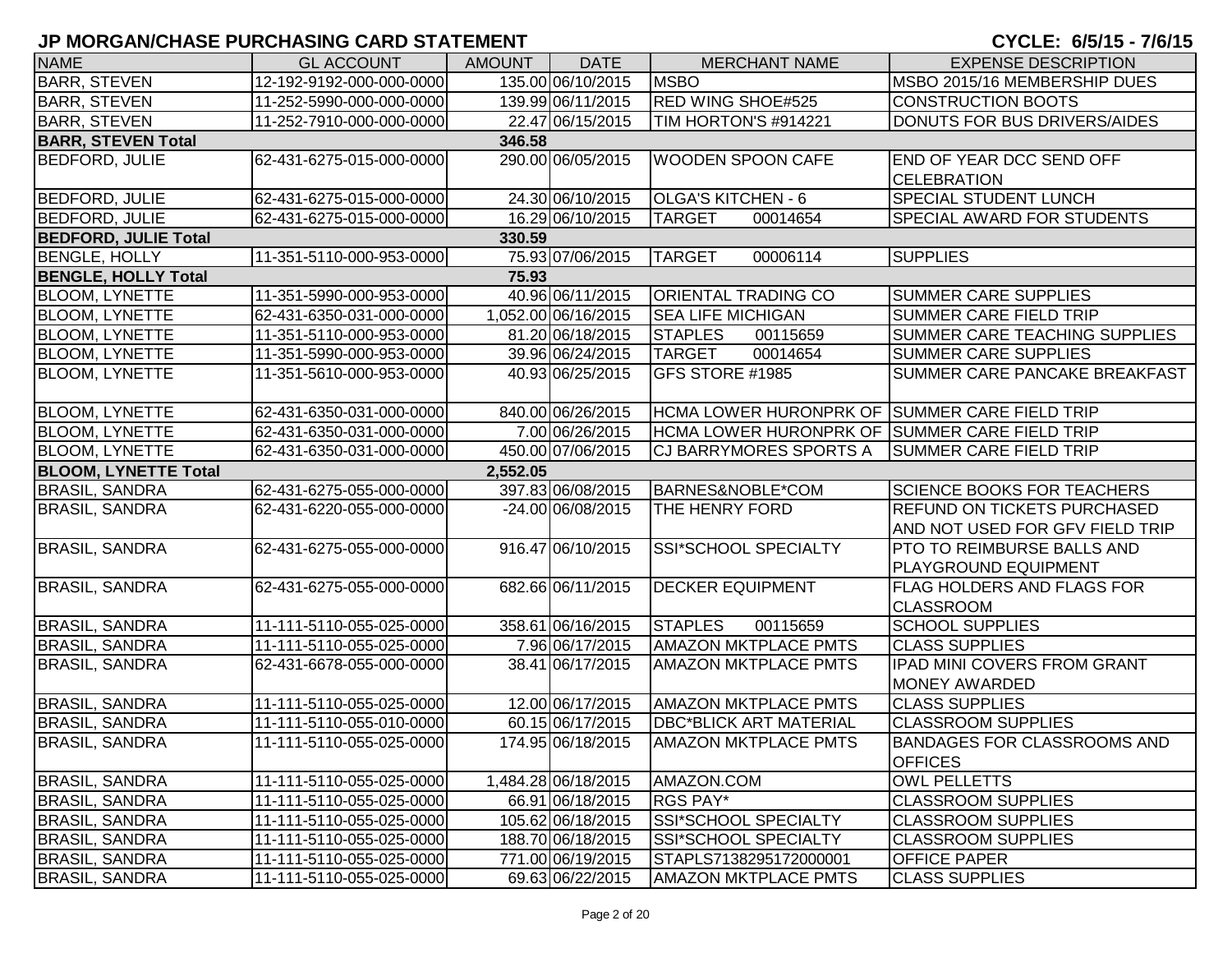| <b>NAME</b>                 | <b>GL ACCOUNT</b>        | <b>AMOUNT</b> | <b>DATE</b>         | <b>MERCHANT NAME</b>                          | <b>EXPENSE DESCRIPTION</b>         |
|-----------------------------|--------------------------|---------------|---------------------|-----------------------------------------------|------------------------------------|
| <b>BARR, STEVEN</b>         | 12-192-9192-000-000-0000 |               | 135.00 06/10/2015   | <b>MSBO</b>                                   | MSBO 2015/16 MEMBERSHIP DUES       |
| <b>BARR, STEVEN</b>         | 11-252-5990-000-000-0000 |               | 139.99 06/11/2015   | <b>RED WING SHOE#525</b>                      | <b>CONSTRUCTION BOOTS</b>          |
| <b>BARR, STEVEN</b>         | 11-252-7910-000-000-0000 |               | 22.47 06/15/2015    | TIM HORTON'S #914221                          | DONUTS FOR BUS DRIVERS/AIDES       |
| <b>BARR, STEVEN Total</b>   |                          | 346.58        |                     |                                               |                                    |
| <b>BEDFORD, JULIE</b>       | 62-431-6275-015-000-0000 |               | 290.00 06/05/2015   | <b>WOODEN SPOON CAFE</b>                      | <b>END OF YEAR DCC SEND OFF</b>    |
|                             |                          |               |                     |                                               | <b>CELEBRATION</b>                 |
| <b>BEDFORD, JULIE</b>       | 62-431-6275-015-000-0000 |               | 24.30 06/10/2015    | OLGA'S KITCHEN - 6                            | SPECIAL STUDENT LUNCH              |
| <b>BEDFORD, JULIE</b>       | 62-431-6275-015-000-0000 |               | 16.29 06/10/2015    | <b>TARGET</b><br>00014654                     | SPECIAL AWARD FOR STUDENTS         |
| <b>BEDFORD, JULIE Total</b> |                          | 330.59        |                     |                                               |                                    |
| <b>BENGLE, HOLLY</b>        | 11-351-5110-000-953-0000 |               | 75.93 07/06/2015    | <b>TARGET</b><br>00006114                     | <b>SUPPLIES</b>                    |
| <b>BENGLE, HOLLY Total</b>  |                          | 75.93         |                     |                                               |                                    |
| <b>BLOOM, LYNETTE</b>       | 11-351-5990-000-953-0000 |               | 40.96 06/11/2015    | <b>ORIENTAL TRADING CO</b>                    | <b>SUMMER CARE SUPPLIES</b>        |
| <b>BLOOM, LYNETTE</b>       | 62-431-6350-031-000-0000 |               | 1,052.00 06/16/2015 | <b>SEA LIFE MICHIGAN</b>                      | <b>SUMMER CARE FIELD TRIP</b>      |
| <b>BLOOM, LYNETTE</b>       | 11-351-5110-000-953-0000 |               | 81.20 06/18/2015    | <b>STAPLES</b><br>00115659                    | SUMMER CARE TEACHING SUPPLIES      |
| <b>BLOOM, LYNETTE</b>       | 11-351-5990-000-953-0000 |               | 39.96 06/24/2015    | <b>TARGET</b><br>00014654                     | <b>SUMMER CARE SUPPLIES</b>        |
| <b>BLOOM, LYNETTE</b>       | 11-351-5610-000-953-0000 |               | 40.93 06/25/2015    | GFS STORE #1985                               | SUMMER CARE PANCAKE BREAKFAST      |
|                             |                          |               |                     |                                               |                                    |
| <b>BLOOM, LYNETTE</b>       | 62-431-6350-031-000-0000 |               | 840.00 06/26/2015   | HCMA LOWER HURONPRK OF SUMMER CARE FIELD TRIP |                                    |
| <b>BLOOM, LYNETTE</b>       | 62-431-6350-031-000-0000 |               | 7.00 06/26/2015     | HCMA LOWER HURONPRK OF SUMMER CARE FIELD TRIP |                                    |
| <b>BLOOM, LYNETTE</b>       | 62-431-6350-031-000-0000 |               | 450.00 07/06/2015   | CJ BARRYMORES SPORTS A                        | <b>SUMMER CARE FIELD TRIP</b>      |
| <b>BLOOM, LYNETTE Total</b> |                          | 2,552.05      |                     |                                               |                                    |
| <b>BRASIL, SANDRA</b>       | 62-431-6275-055-000-0000 |               | 397.83 06/08/2015   | BARNES&NOBLE*COM                              | <b>SCIENCE BOOKS FOR TEACHERS</b>  |
| <b>BRASIL, SANDRA</b>       | 62-431-6220-055-000-0000 |               | -24.00 06/08/2015   | THE HENRY FORD                                | <b>REFUND ON TICKETS PURCHASED</b> |
|                             |                          |               |                     |                                               | AND NOT USED FOR GFV FIELD TRIP    |
| <b>BRASIL, SANDRA</b>       | 62-431-6275-055-000-0000 |               | 916.47 06/10/2015   | SSI*SCHOOL SPECIALTY                          | PTO TO REIMBURSE BALLS AND         |
|                             |                          |               |                     |                                               | PLAYGROUND EQUIPMENT               |
| <b>BRASIL, SANDRA</b>       | 62-431-6275-055-000-0000 |               | 682.66 06/11/2015   | <b>DECKER EQUIPMENT</b>                       | <b>FLAG HOLDERS AND FLAGS FOR</b>  |
|                             |                          |               |                     |                                               | <b>CLASSROOM</b>                   |
| <b>BRASIL, SANDRA</b>       | 11-111-5110-055-025-0000 |               | 358.61 06/16/2015   | <b>STAPLES</b><br>00115659                    | <b>SCHOOL SUPPLIES</b>             |
| <b>BRASIL, SANDRA</b>       | 11-111-5110-055-025-0000 |               | 7.96 06/17/2015     | <b>AMAZON MKTPLACE PMTS</b>                   | <b>CLASS SUPPLIES</b>              |
| <b>BRASIL, SANDRA</b>       | 62-431-6678-055-000-0000 |               | 38.41 06/17/2015    | <b>AMAZON MKTPLACE PMTS</b>                   | <b>IPAD MINI COVERS FROM GRANT</b> |
|                             |                          |               |                     |                                               | MONEY AWARDED                      |
| <b>BRASIL, SANDRA</b>       | 11-111-5110-055-025-0000 |               | 12.00 06/17/2015    | <b>AMAZON MKTPLACE PMTS</b>                   | <b>CLASS SUPPLIES</b>              |
| <b>BRASIL, SANDRA</b>       | 11-111-5110-055-010-0000 |               | 60.15 06/17/2015    | <b>DBC*BLICK ART MATERIAL</b>                 | <b>CLASSROOM SUPPLIES</b>          |
| <b>BRASIL, SANDRA</b>       | 11-111-5110-055-025-0000 |               | 174.95 06/18/2015   | <b>AMAZON MKTPLACE PMTS</b>                   | <b>BANDAGES FOR CLASSROOMS AND</b> |
|                             |                          |               |                     |                                               | <b>OFFICES</b>                     |
| <b>BRASIL, SANDRA</b>       | 11-111-5110-055-025-0000 |               | 1,484.28 06/18/2015 | AMAZON.COM                                    | <b>OWL PELLETTS</b>                |
| <b>BRASIL, SANDRA</b>       | 11-111-5110-055-025-0000 |               | 66.91 06/18/2015    | <b>RGS PAY*</b>                               | <b>CLASSROOM SUPPLIES</b>          |
| <b>BRASIL, SANDRA</b>       | 11-111-5110-055-025-0000 |               | 105.62 06/18/2015   | SSI*SCHOOL SPECIALTY                          | <b>CLASSROOM SUPPLIES</b>          |
| <b>BRASIL, SANDRA</b>       | 11-111-5110-055-025-0000 |               | 188.70 06/18/2015   | SSI*SCHOOL SPECIALTY                          | <b>CLASSROOM SUPPLIES</b>          |
| <b>BRASIL, SANDRA</b>       | 11-111-5110-055-025-0000 |               | 771.00 06/19/2015   | STAPLS7138295172000001                        | <b>OFFICE PAPER</b>                |
| <b>BRASIL, SANDRA</b>       | 11-111-5110-055-025-0000 |               | 69.63 06/22/2015    | <b>AMAZON MKTPLACE PMTS</b>                   | CLASS SUPPLIES                     |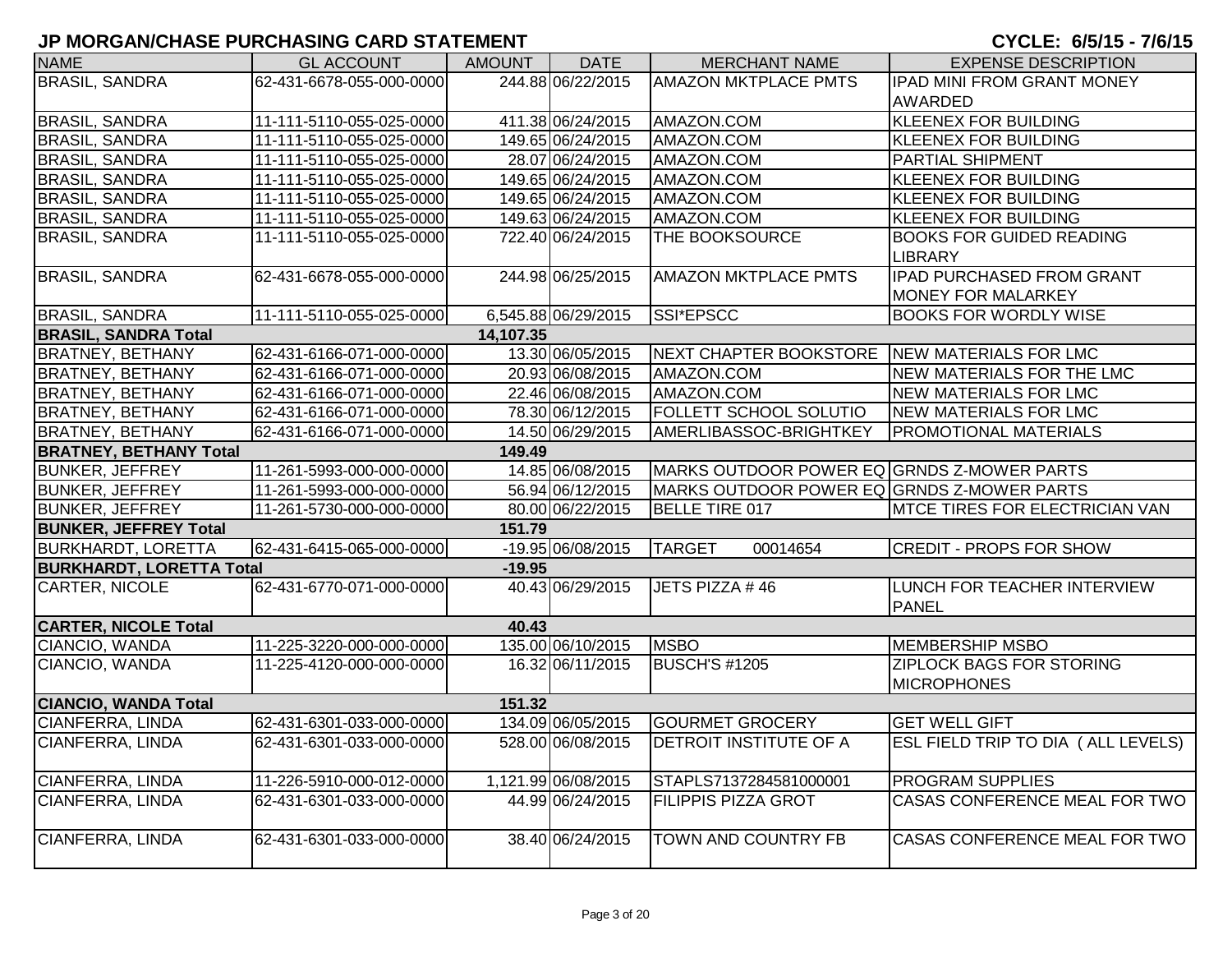| <b>NAME</b>                     | <b>GL ACCOUNT</b>        | <b>AMOUNT</b> | <b>DATE</b>         | <b>MERCHANT NAME</b>                         | <b>EXPENSE DESCRIPTION</b>                                    |
|---------------------------------|--------------------------|---------------|---------------------|----------------------------------------------|---------------------------------------------------------------|
| <b>BRASIL, SANDRA</b>           | 62-431-6678-055-000-0000 |               | 244.88 06/22/2015   | <b>AMAZON MKTPLACE PMTS</b>                  | <b>IPAD MINI FROM GRANT MONEY</b>                             |
|                                 |                          |               |                     |                                              | <b>AWARDED</b>                                                |
| <b>BRASIL, SANDRA</b>           | 11-111-5110-055-025-0000 |               | 411.38 06/24/2015   | AMAZON.COM                                   | <b>KLEENEX FOR BUILDING</b>                                   |
| <b>BRASIL, SANDRA</b>           | 11-111-5110-055-025-0000 |               | 149.65 06/24/2015   | AMAZON.COM                                   | <b>KLEENEX FOR BUILDING</b>                                   |
| <b>BRASIL, SANDRA</b>           | 11-111-5110-055-025-0000 |               | 28.07 06/24/2015    | AMAZON.COM                                   | <b>PARTIAL SHIPMENT</b>                                       |
| <b>BRASIL, SANDRA</b>           | 11-111-5110-055-025-0000 |               | 149.65 06/24/2015   | AMAZON.COM                                   | <b>KLEENEX FOR BUILDING</b>                                   |
| <b>BRASIL, SANDRA</b>           | 11-111-5110-055-025-0000 |               | 149.65 06/24/2015   | AMAZON.COM                                   | <b>KLEENEX FOR BUILDING</b>                                   |
| <b>BRASIL, SANDRA</b>           | 11-111-5110-055-025-0000 |               | 149.63 06/24/2015   | AMAZON.COM                                   | <b>KLEENEX FOR BUILDING</b>                                   |
| <b>BRASIL, SANDRA</b>           | 11-111-5110-055-025-0000 |               | 722.40 06/24/2015   | THE BOOKSOURCE                               | <b>BOOKS FOR GUIDED READING</b><br><b>LIBRARY</b>             |
| <b>BRASIL, SANDRA</b>           | 62-431-6678-055-000-0000 |               | 244.98 06/25/2015   | <b>AMAZON MKTPLACE PMTS</b>                  | <b>IPAD PURCHASED FROM GRANT</b><br><b>MONEY FOR MALARKEY</b> |
| <b>BRASIL, SANDRA</b>           | 11-111-5110-055-025-0000 |               | 6,545.88 06/29/2015 | SSI*EPSCC                                    | <b>BOOKS FOR WORDLY WISE</b>                                  |
| <b>BRASIL, SANDRA Total</b>     |                          | 14,107.35     |                     |                                              |                                                               |
| <b>BRATNEY, BETHANY</b>         | 62-431-6166-071-000-0000 |               | 13.30 06/05/2015    | NEXT CHAPTER BOOKSTORE NEW MATERIALS FOR LMC |                                                               |
| <b>BRATNEY, BETHANY</b>         | 62-431-6166-071-000-0000 |               | 20.93 06/08/2015    | AMAZON.COM                                   | NEW MATERIALS FOR THE LMC                                     |
| <b>BRATNEY, BETHANY</b>         | 62-431-6166-071-000-0000 |               | 22.46 06/08/2015    | AMAZON.COM                                   | <b>NEW MATERIALS FOR LMC</b>                                  |
| <b>BRATNEY, BETHANY</b>         | 62-431-6166-071-000-0000 |               | 78.30 06/12/2015    | <b>FOLLETT SCHOOL SOLUTIO</b>                | <b>NEW MATERIALS FOR LMC</b>                                  |
| <b>BRATNEY, BETHANY</b>         | 62-431-6166-071-000-0000 |               | 14.50 06/29/2015    | AMERLIBASSOC-BRIGHTKEY                       | <b>PROMOTIONAL MATERIALS</b>                                  |
| <b>BRATNEY, BETHANY Total</b>   |                          | 149.49        |                     |                                              |                                                               |
| <b>BUNKER, JEFFREY</b>          | 11-261-5993-000-000-0000 |               | 14.85 06/08/2015    | MARKS OUTDOOR POWER EQ GRNDS Z-MOWER PARTS   |                                                               |
| <b>BUNKER, JEFFREY</b>          | 11-261-5993-000-000-0000 |               | 56.94 06/12/2015    | MARKS OUTDOOR POWER EQ GRNDS Z-MOWER PARTS   |                                                               |
| <b>BUNKER, JEFFREY</b>          | 11-261-5730-000-000-0000 |               | 80.00 06/22/2015    | BELLE TIRE 017                               | <b>IMTCE TIRES FOR ELECTRICIAN VAN</b>                        |
| <b>BUNKER, JEFFREY Total</b>    |                          | 151.79        |                     |                                              |                                                               |
| <b>BURKHARDT, LORETTA</b>       | 62-431-6415-065-000-0000 |               | $-19.9506/08/2015$  | <b>TARGET</b><br>00014654                    | <b>CREDIT - PROPS FOR SHOW</b>                                |
| <b>BURKHARDT, LORETTA Total</b> |                          | $-19.95$      |                     |                                              |                                                               |
| CARTER, NICOLE                  | 62-431-6770-071-000-0000 |               | 40.43 06/29/2015    | JETS PIZZA #46                               | LUNCH FOR TEACHER INTERVIEW<br><b>PANEL</b>                   |
| <b>CARTER, NICOLE Total</b>     |                          | 40.43         |                     |                                              |                                                               |
| CIANCIO, WANDA                  | 11-225-3220-000-000-0000 |               | 135.00 06/10/2015   | <b>MSBO</b>                                  | <b>MEMBERSHIP MSBO</b>                                        |
| CIANCIO, WANDA                  | 11-225-4120-000-000-0000 |               | 16.32 06/11/2015    | <b>BUSCH'S #1205</b>                         | <b>ZIPLOCK BAGS FOR STORING</b><br><b>MICROPHONES</b>         |
| <b>CIANCIO, WANDA Total</b>     |                          | 151.32        |                     |                                              |                                                               |
| <b>CIANFERRA, LINDA</b>         | 62-431-6301-033-000-0000 |               | 134.09 06/05/2015   | <b>GOURMET GROCERY</b>                       | <b>GET WELL GIFT</b>                                          |
| CIANFERRA, LINDA                | 62-431-6301-033-000-0000 |               | 528.00 06/08/2015   | <b>DETROIT INSTITUTE OF A</b>                | ESL FIELD TRIP TO DIA (ALL LEVELS)                            |
| CIANFERRA, LINDA                | 11-226-5910-000-012-0000 |               | 1,121.99 06/08/2015 | STAPLS7137284581000001                       | <b>PROGRAM SUPPLIES</b>                                       |
| <b>CIANFERRA, LINDA</b>         | 62-431-6301-033-000-0000 |               | 44.99 06/24/2015    | <b>FILIPPIS PIZZA GROT</b>                   | CASAS CONFERENCE MEAL FOR TWO                                 |
| CIANFERRA, LINDA                | 62-431-6301-033-000-0000 |               | 38.40 06/24/2015    | <b>TOWN AND COUNTRY FB</b>                   | CASAS CONFERENCE MEAL FOR TWO                                 |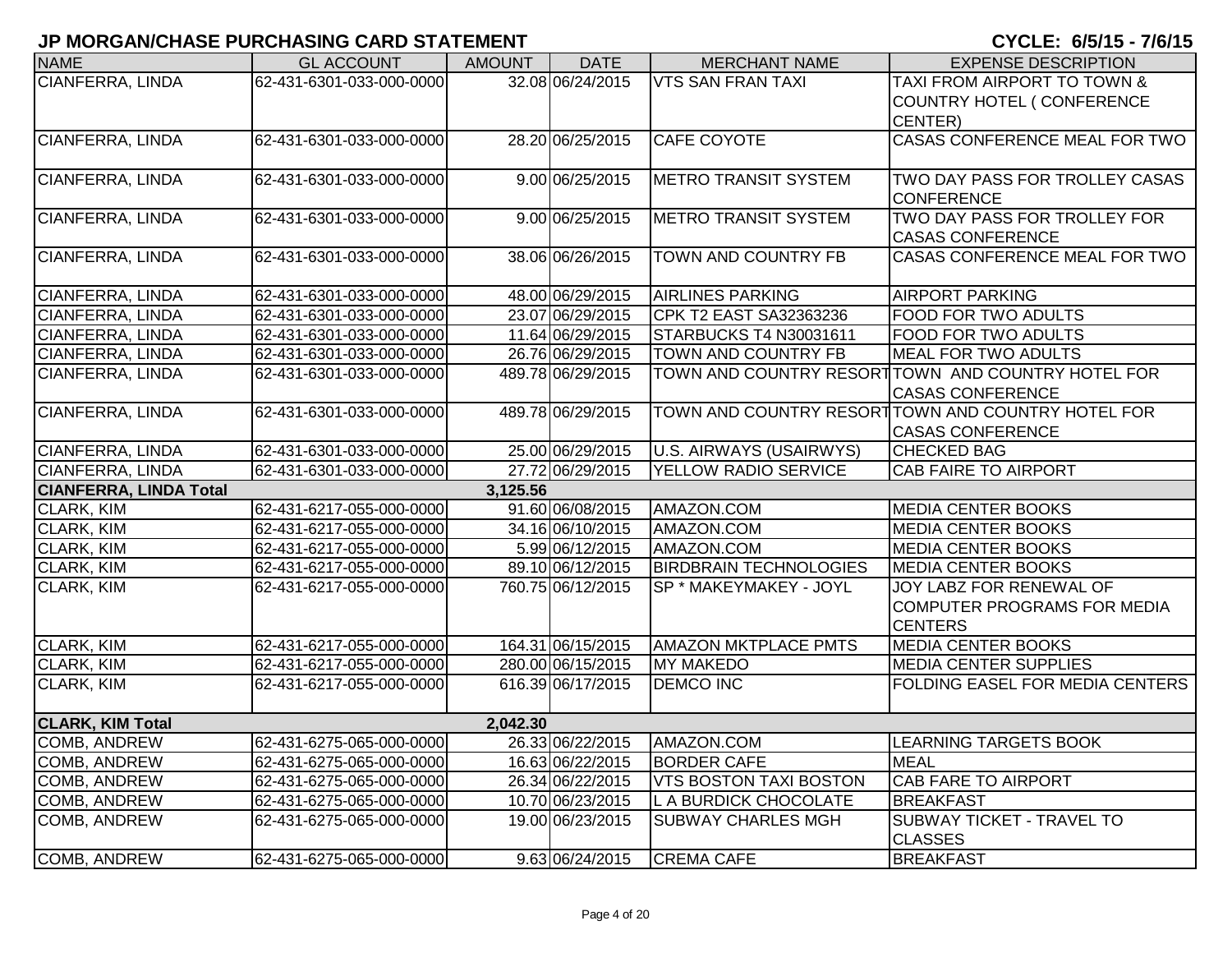| <b>NAME</b>                   | <b>GL ACCOUNT</b>        | <b>AMOUNT</b> | <b>DATE</b>                            | <b>MERCHANT NAME</b>          | <b>EXPENSE DESCRIPTION</b>                                |
|-------------------------------|--------------------------|---------------|----------------------------------------|-------------------------------|-----------------------------------------------------------|
| <b>CIANFERRA, LINDA</b>       | 62-431-6301-033-000-0000 |               | 32.08 06/24/2015                       | <b>VTS SAN FRAN TAXI</b>      | TAXI FROM AIRPORT TO TOWN &                               |
|                               |                          |               |                                        |                               | COUNTRY HOTEL ( CONFERENCE                                |
|                               |                          |               |                                        |                               | CENTER)                                                   |
| <b>CIANFERRA, LINDA</b>       | 62-431-6301-033-000-0000 |               | 28.20 06/25/2015                       | <b>CAFE COYOTE</b>            | <b>CASAS CONFERENCE MEAL FOR TWO</b>                      |
|                               |                          |               |                                        |                               |                                                           |
| CIANFERRA, LINDA              | 62-431-6301-033-000-0000 |               | 9.00 06/25/2015                        | <b>METRO TRANSIT SYSTEM</b>   | TWO DAY PASS FOR TROLLEY CASAS                            |
|                               |                          |               |                                        |                               | <b>CONFERENCE</b>                                         |
| <b>CIANFERRA, LINDA</b>       | 62-431-6301-033-000-0000 |               | 9.00 06/25/2015                        | <b>METRO TRANSIT SYSTEM</b>   | TWO DAY PASS FOR TROLLEY FOR                              |
|                               |                          |               |                                        |                               | <b>CASAS CONFERENCE</b>                                   |
| CIANFERRA, LINDA              | 62-431-6301-033-000-0000 |               | 38.06 06/26/2015                       | TOWN AND COUNTRY FB           | CASAS CONFERENCE MEAL FOR TWO                             |
|                               |                          |               |                                        |                               |                                                           |
| <b>CIANFERRA, LINDA</b>       | 62-431-6301-033-000-0000 |               | 48.00 06/29/2015                       | <b>AIRLINES PARKING</b>       | <b>AIRPORT PARKING</b>                                    |
| CIANFERRA, LINDA              | 62-431-6301-033-000-0000 |               | 23.07 06/29/2015                       | CPK T2 EAST SA32363236        | <b>FOOD FOR TWO ADULTS</b>                                |
| CIANFERRA, LINDA              | 62-431-6301-033-000-0000 |               | 11.64 06/29/2015                       | STARBUCKS T4 N30031611        | <b>FOOD FOR TWO ADULTS</b>                                |
| CIANFERRA, LINDA              | 62-431-6301-033-000-0000 |               | 26.76 06/29/2015                       | TOWN AND COUNTRY FB           | MEAL FOR TWO ADULTS                                       |
| CIANFERRA, LINDA              | 62-431-6301-033-000-0000 |               | 489.78 06/29/2015                      |                               | TOWN AND COUNTRY RESORT TOWN AND COUNTRY HOTEL FOR        |
|                               |                          |               |                                        |                               | <b>CASAS CONFERENCE</b>                                   |
| CIANFERRA, LINDA              | 62-431-6301-033-000-0000 |               | 489.78 06/29/2015                      |                               | TOWN AND COUNTRY RESORT TOWN AND COUNTRY HOTEL FOR        |
|                               |                          |               |                                        |                               | <b>CASAS CONFERENCE</b>                                   |
| CIANFERRA, LINDA              | 62-431-6301-033-000-0000 |               | 25.00 06/29/2015                       | U.S. AIRWAYS (USAIRWYS)       | <b>CHECKED BAG</b>                                        |
| CIANFERRA, LINDA              | 62-431-6301-033-000-0000 |               | 27.72 06/29/2015                       | YELLOW RADIO SERVICE          | <b>CAB FAIRE TO AIRPORT</b>                               |
| <b>CIANFERRA, LINDA Total</b> |                          | 3,125.56      |                                        |                               |                                                           |
| <b>CLARK, KIM</b>             | 62-431-6217-055-000-0000 |               | 91.60 06/08/2015                       | AMAZON.COM                    | <b>MEDIA CENTER BOOKS</b>                                 |
| CLARK, KIM                    | 62-431-6217-055-000-0000 |               | 34.16 06/10/2015                       | AMAZON.COM                    | <b>MEDIA CENTER BOOKS</b>                                 |
| CLARK, KIM                    | 62-431-6217-055-000-0000 |               | 5.99 06/12/2015                        | AMAZON.COM                    | <b>MEDIA CENTER BOOKS</b>                                 |
| CLARK, KIM                    | 62-431-6217-055-000-0000 |               | 89.10 06/12/2015                       | <b>BIRDBRAIN TECHNOLOGIES</b> | <b>MEDIA CENTER BOOKS</b>                                 |
| <b>CLARK, KIM</b>             | 62-431-6217-055-000-0000 |               | 760.75 06/12/2015                      | SP * MAKEYMAKEY - JOYL        | JOY LABZ FOR RENEWAL OF                                   |
|                               |                          |               |                                        |                               | COMPUTER PROGRAMS FOR MEDIA                               |
|                               |                          |               |                                        |                               | <b>CENTERS</b>                                            |
| CLARK, KIM                    | 62-431-6217-055-000-0000 |               | 164.31 06/15/2015<br>280.00 06/15/2015 | <b>AMAZON MKTPLACE PMTS</b>   | <b>MEDIA CENTER BOOKS</b><br><b>MEDIA CENTER SUPPLIES</b> |
| CLARK, KIM                    | 62-431-6217-055-000-0000 |               |                                        | <b>MY MAKEDO</b>              |                                                           |
| CLARK, KIM                    | 62-431-6217-055-000-0000 |               | 616.39 06/17/2015                      | <b>DEMCO INC</b>              | <b>FOLDING EASEL FOR MEDIA CENTERS</b>                    |
| <b>CLARK, KIM Total</b>       |                          | 2,042.30      |                                        |                               |                                                           |
| <b>COMB, ANDREW</b>           | 62-431-6275-065-000-0000 |               | 26.33 06/22/2015                       | AMAZON.COM                    | <b>LEARNING TARGETS BOOK</b>                              |
| COMB, ANDREW                  | 62-431-6275-065-000-0000 |               | 16.63 06/22/2015                       | <b>BORDER CAFE</b>            | <b>MEAL</b>                                               |
| <b>COMB, ANDREW</b>           | 62-431-6275-065-000-0000 |               | 26.34 06/22/2015                       | <b>VTS BOSTON TAXI BOSTON</b> | <b>CAB FARE TO AIRPORT</b>                                |
| COMB, ANDREW                  | 62-431-6275-065-000-0000 |               | 10.70 06/23/2015                       | L A BURDICK CHOCOLATE         | <b>BREAKFAST</b>                                          |
| <b>COMB, ANDREW</b>           | 62-431-6275-065-000-0000 |               | 19.00 06/23/2015                       | <b>SUBWAY CHARLES MGH</b>     | <b>SUBWAY TICKET - TRAVEL TO</b>                          |
|                               |                          |               |                                        |                               | <b>CLASSES</b>                                            |
| <b>COMB, ANDREW</b>           | 62-431-6275-065-000-0000 |               | 9.63 06/24/2015                        | <b>CREMA CAFE</b>             | <b>BREAKFAST</b>                                          |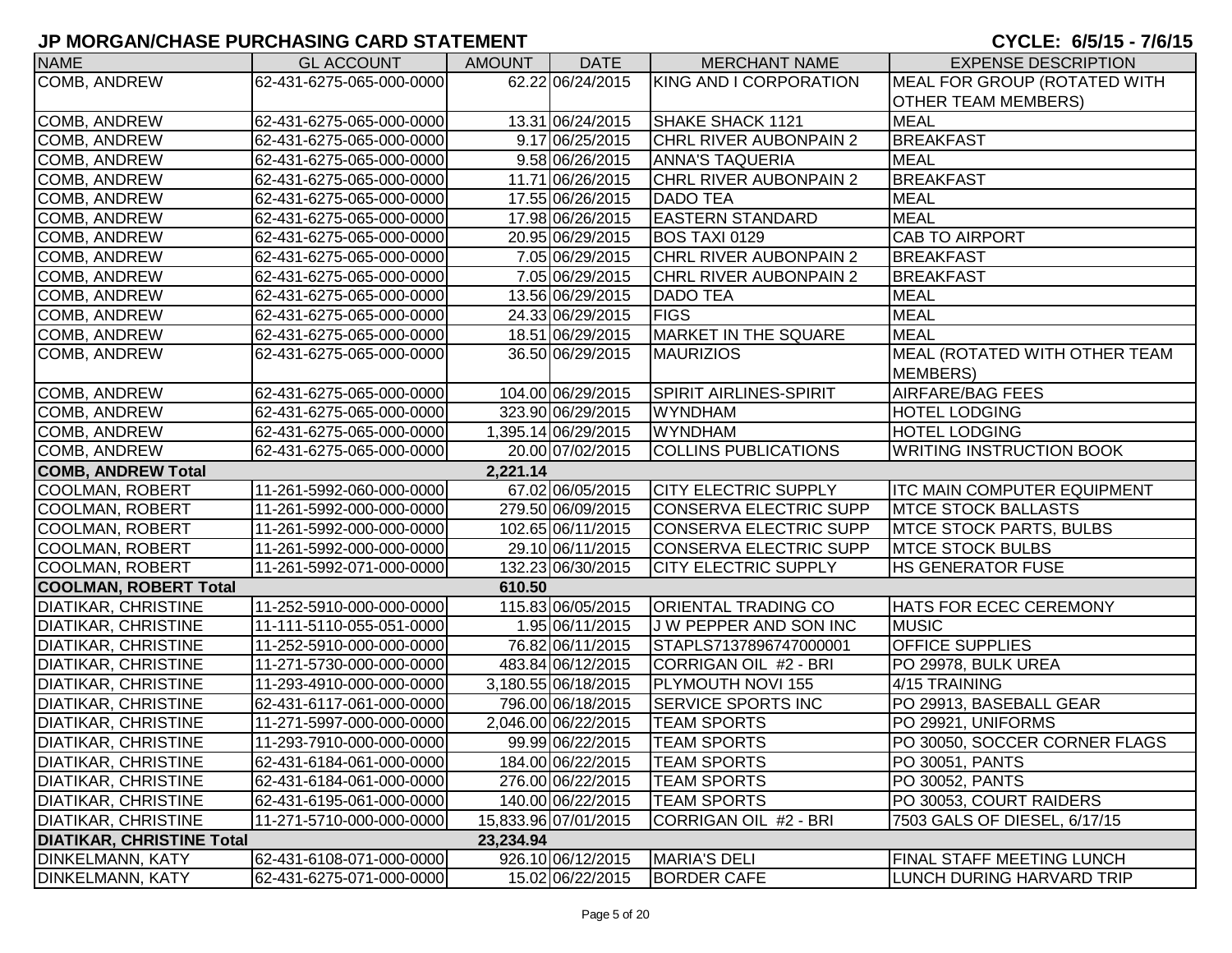| <b>NAME</b>                      | <b>GL ACCOUNT</b>        | AMOUNT    | <b>DATE</b>          | <b>MERCHANT NAME</b>          | <b>EXPENSE DESCRIPTION</b>         |
|----------------------------------|--------------------------|-----------|----------------------|-------------------------------|------------------------------------|
| COMB, ANDREW                     | 62-431-6275-065-000-0000 |           | 62.22 06/24/2015     | KING AND I CORPORATION        | MEAL FOR GROUP (ROTATED WITH       |
|                                  |                          |           |                      |                               | <b>OTHER TEAM MEMBERS)</b>         |
| COMB, ANDREW                     | 62-431-6275-065-000-0000 |           | 13.31 06/24/2015     | SHAKE SHACK 1121              | <b>MEAL</b>                        |
| COMB, ANDREW                     | 62-431-6275-065-000-0000 |           | 9.17 06/25/2015      | <b>CHRL RIVER AUBONPAIN 2</b> | <b>BREAKFAST</b>                   |
| <b>COMB, ANDREW</b>              | 62-431-6275-065-000-0000 |           | 9.58 06/26/2015      | <b>ANNA'S TAQUERIA</b>        | <b>MEAL</b>                        |
| COMB, ANDREW                     | 62-431-6275-065-000-0000 |           | 11.71 06/26/2015     | <b>CHRL RIVER AUBONPAIN 2</b> | <b>BREAKFAST</b>                   |
| COMB, ANDREW                     | 62-431-6275-065-000-0000 |           | 17.55 06/26/2015     | <b>DADO TEA</b>               | <b>MEAL</b>                        |
| COMB, ANDREW                     | 62-431-6275-065-000-0000 |           | 17.98 06/26/2015     | <b>EASTERN STANDARD</b>       | <b>MEAL</b>                        |
| COMB, ANDREW                     | 62-431-6275-065-000-0000 |           | 20.95 06/29/2015     | BOS TAXI 0129                 | <b>CAB TO AIRPORT</b>              |
| COMB, ANDREW                     | 62-431-6275-065-000-0000 |           | 7.05 06/29/2015      | CHRL RIVER AUBONPAIN 2        | <b>BREAKFAST</b>                   |
| COMB, ANDREW                     | 62-431-6275-065-000-0000 |           | 7.05 06/29/2015      | <b>CHRL RIVER AUBONPAIN 2</b> | <b>BREAKFAST</b>                   |
| COMB, ANDREW                     | 62-431-6275-065-000-0000 |           | 13.56 06/29/2015     | <b>DADO TEA</b>               | <b>MEAL</b>                        |
| <b>COMB, ANDREW</b>              | 62-431-6275-065-000-0000 |           | 24.33 06/29/2015     | <b>FIGS</b>                   | <b>MEAL</b>                        |
| COMB, ANDREW                     | 62-431-6275-065-000-0000 |           | 18.51 06/29/2015     | <b>MARKET IN THE SQUARE</b>   | <b>MEAL</b>                        |
| <b>COMB, ANDREW</b>              | 62-431-6275-065-000-0000 |           | 36.50 06/29/2015     | <b>MAURIZIOS</b>              | MEAL (ROTATED WITH OTHER TEAM      |
|                                  |                          |           |                      |                               | <b>MEMBERS</b> )                   |
| COMB, ANDREW                     | 62-431-6275-065-000-0000 |           | 104.00 06/29/2015    | SPIRIT AIRLINES-SPIRIT        | <b>AIRFARE/BAG FEES</b>            |
| COMB, ANDREW                     | 62-431-6275-065-000-0000 |           | 323.90 06/29/2015    | <b>WYNDHAM</b>                | <b>HOTEL LODGING</b>               |
| COMB, ANDREW                     | 62-431-6275-065-000-0000 |           | 1,395.14 06/29/2015  | <b>WYNDHAM</b>                | <b>HOTEL LODGING</b>               |
| <b>COMB, ANDREW</b>              | 62-431-6275-065-000-0000 |           | 20.00 07/02/2015     | <b>COLLINS PUBLICATIONS</b>   | <b>WRITING INSTRUCTION BOOK</b>    |
| <b>COMB, ANDREW Total</b>        |                          | 2,221.14  |                      |                               |                                    |
| <b>COOLMAN, ROBERT</b>           | 11-261-5992-060-000-0000 |           | 67.02 06/05/2015     | <b>CITY ELECTRIC SUPPLY</b>   | <b>ITC MAIN COMPUTER EQUIPMENT</b> |
| <b>COOLMAN, ROBERT</b>           | 11-261-5992-000-000-0000 |           | 279.50 06/09/2015    | CONSERVA ELECTRIC SUPP        | <b>MTCE STOCK BALLASTS</b>         |
| <b>COOLMAN, ROBERT</b>           | 11-261-5992-000-000-0000 |           | 102.65 06/11/2015    | CONSERVA ELECTRIC SUPP        | <b>MTCE STOCK PARTS, BULBS</b>     |
| <b>COOLMAN, ROBERT</b>           | 11-261-5992-000-000-0000 |           | 29.10 06/11/2015     | CONSERVA ELECTRIC SUPP        | <b>MTCE STOCK BULBS</b>            |
| <b>COOLMAN, ROBERT</b>           | 11-261-5992-071-000-0000 |           | 132.23 06/30/2015    | <b>CITY ELECTRIC SUPPLY</b>   | HS GENERATOR FUSE                  |
| <b>COOLMAN, ROBERT Total</b>     |                          | 610.50    |                      |                               |                                    |
| <b>DIATIKAR, CHRISTINE</b>       | 11-252-5910-000-000-0000 |           | 115.83 06/05/2015    | <b>ORIENTAL TRADING CO</b>    | HATS FOR ECEC CEREMONY             |
| <b>DIATIKAR, CHRISTINE</b>       | 11-111-5110-055-051-0000 |           | 1.95 06/11/2015      | J W PEPPER AND SON INC        | <b>MUSIC</b>                       |
| <b>DIATIKAR, CHRISTINE</b>       | 11-252-5910-000-000-0000 |           | 76.82 06/11/2015     | STAPLS7137896747000001        | <b>OFFICE SUPPLIES</b>             |
| <b>DIATIKAR, CHRISTINE</b>       | 11-271-5730-000-000-0000 |           | 483.84 06/12/2015    | CORRIGAN OIL #2 - BRI         | PO 29978, BULK UREA                |
| <b>DIATIKAR, CHRISTINE</b>       | 11-293-4910-000-000-0000 |           | 3,180.55 06/18/2015  | PLYMOUTH NOVI 155             | 4/15 TRAINING                      |
| <b>DIATIKAR, CHRISTINE</b>       | 62-431-6117-061-000-0000 |           | 796.00 06/18/2015    | <b>SERVICE SPORTS INC</b>     | PO 29913, BASEBALL GEAR            |
| <b>DIATIKAR, CHRISTINE</b>       | 11-271-5997-000-000-0000 |           | 2,046.00 06/22/2015  | <b>TEAM SPORTS</b>            | PO 29921, UNIFORMS                 |
| <b>DIATIKAR, CHRISTINE</b>       | 11-293-7910-000-000-0000 |           | 99.99 06/22/2015     | <b>TEAM SPORTS</b>            | PO 30050, SOCCER CORNER FLAGS      |
| <b>DIATIKAR, CHRISTINE</b>       | 62-431-6184-061-000-0000 |           | 184.00 06/22/2015    | <b>TEAM SPORTS</b>            | PO 30051, PANTS                    |
| <b>DIATIKAR, CHRISTINE</b>       | 62-431-6184-061-000-0000 |           | 276.00 06/22/2015    | <b>TEAM SPORTS</b>            | PO 30052, PANTS                    |
| <b>DIATIKAR, CHRISTINE</b>       | 62-431-6195-061-000-0000 |           | 140.00 06/22/2015    | <b>TEAM SPORTS</b>            | PO 30053, COURT RAIDERS            |
| <b>DIATIKAR, CHRISTINE</b>       | 11-271-5710-000-000-0000 |           | 15,833.96 07/01/2015 | CORRIGAN OIL #2 - BRI         | 7503 GALS OF DIESEL, 6/17/15       |
| <b>DIATIKAR, CHRISTINE Total</b> |                          | 23,234.94 |                      |                               |                                    |
| <b>DINKELMANN, KATY</b>          | 62-431-6108-071-000-0000 |           | 926.10 06/12/2015    | <b>MARIA'S DELI</b>           | FINAL STAFF MEETING LUNCH          |
| <b>DINKELMANN, KATY</b>          | 62-431-6275-071-000-0000 |           | 15.02 06/22/2015     | <b>BORDER CAFE</b>            | LUNCH DURING HARVARD TRIP          |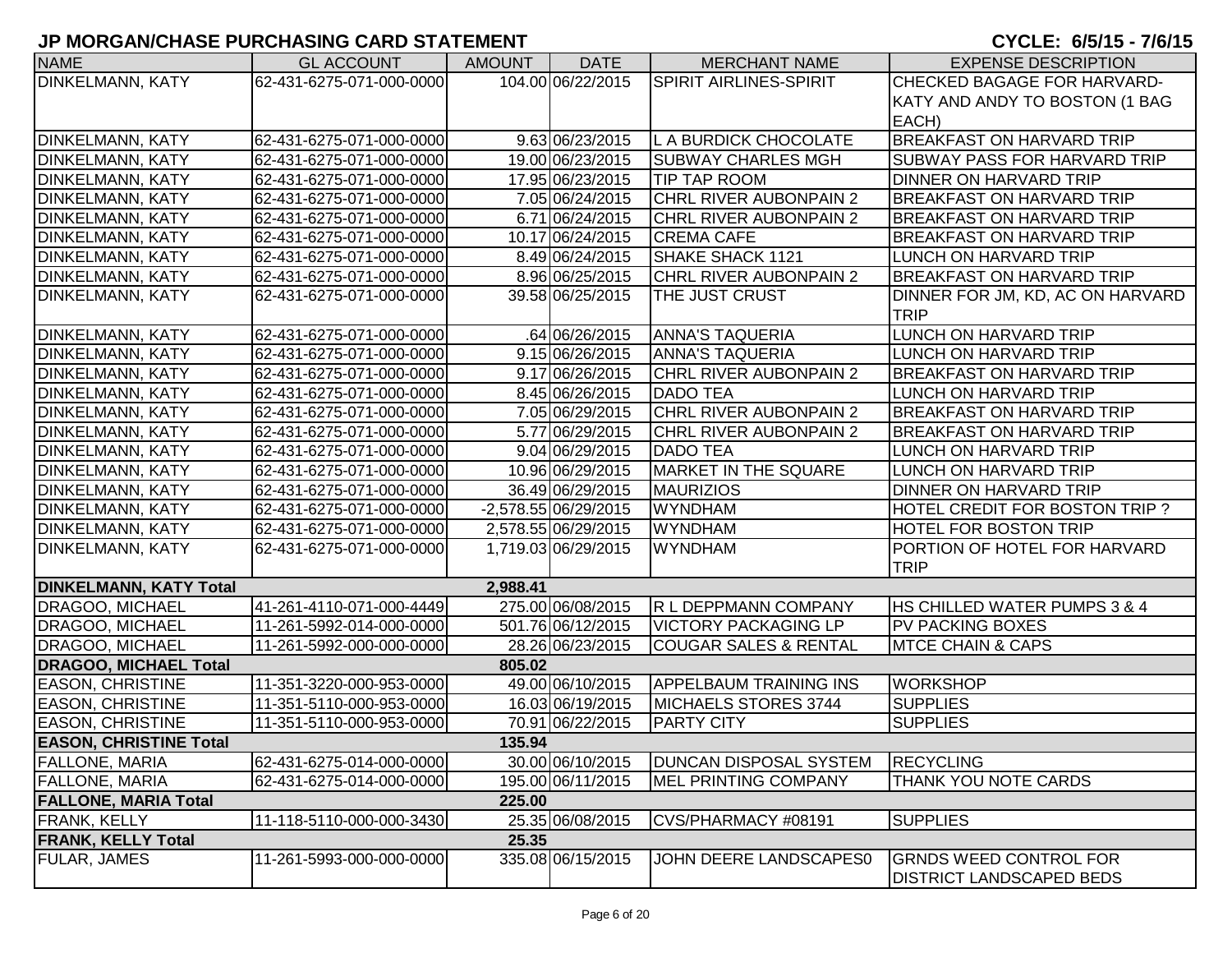| <b>NAME</b>                   | <b>GL ACCOUNT</b>        | <b>AMOUNT</b> | <b>DATE</b>           | <b>MERCHANT NAME</b>             | <b>EXPENSE DESCRIPTION</b>          |
|-------------------------------|--------------------------|---------------|-----------------------|----------------------------------|-------------------------------------|
| <b>DINKELMANN, KATY</b>       | 62-431-6275-071-000-0000 |               | 104.00 06/22/2015     | <b>SPIRIT AIRLINES-SPIRIT</b>    | CHECKED BAGAGE FOR HARVARD-         |
|                               |                          |               |                       |                                  | KATY AND ANDY TO BOSTON (1 BAG      |
|                               |                          |               |                       |                                  | EACH)                               |
| <b>DINKELMANN, KATY</b>       | 62-431-6275-071-000-0000 |               | 9.63 06/23/2015       | L A BURDICK CHOCOLATE            | <b>BREAKFAST ON HARVARD TRIP</b>    |
| <b>DINKELMANN, KATY</b>       | 62-431-6275-071-000-0000 |               | 19.00 06/23/2015      | <b>SUBWAY CHARLES MGH</b>        | <b>SUBWAY PASS FOR HARVARD TRIP</b> |
| DINKELMANN, KATY              | 62-431-6275-071-000-0000 |               | 17.95 06/23/2015      | <b>TIP TAP ROOM</b>              | <b>DINNER ON HARVARD TRIP</b>       |
| DINKELMANN, KATY              | 62-431-6275-071-000-0000 |               | 7.05 06/24/2015       | <b>CHRL RIVER AUBONPAIN 2</b>    | <b>BREAKFAST ON HARVARD TRIP</b>    |
| <b>DINKELMANN, KATY</b>       | 62-431-6275-071-000-0000 |               | 6.71 06/24/2015       | <b>CHRL RIVER AUBONPAIN 2</b>    | <b>BREAKFAST ON HARVARD TRIP</b>    |
| <b>DINKELMANN, KATY</b>       | 62-431-6275-071-000-0000 |               | 10.17 06/24/2015      | <b>CREMA CAFE</b>                | <b>BREAKFAST ON HARVARD TRIP</b>    |
| <b>DINKELMANN, KATY</b>       | 62-431-6275-071-000-0000 |               | 8.49 06/24/2015       | SHAKE SHACK 1121                 | LUNCH ON HARVARD TRIP               |
| DINKELMANN, KATY              | 62-431-6275-071-000-0000 |               | 8.96 06/25/2015       | CHRL RIVER AUBONPAIN 2           | <b>BREAKFAST ON HARVARD TRIP</b>    |
| DINKELMANN, KATY              | 62-431-6275-071-000-0000 |               | 39.58 06/25/2015      | THE JUST CRUST                   | DINNER FOR JM, KD, AC ON HARVARD    |
|                               |                          |               |                       |                                  | TRIP                                |
| <b>DINKELMANN, KATY</b>       | 62-431-6275-071-000-0000 |               | .64 06/26/2015        | <b>ANNA'S TAQUERIA</b>           | LUNCH ON HARVARD TRIP               |
| <b>DINKELMANN, KATY</b>       | 62-431-6275-071-000-0000 |               | 9.15 06/26/2015       | <b>ANNA'S TAQUERIA</b>           | LUNCH ON HARVARD TRIP               |
| <b>DINKELMANN, KATY</b>       | 62-431-6275-071-000-0000 |               | 9.17 06/26/2015       | <b>CHRL RIVER AUBONPAIN 2</b>    | <b>BREAKFAST ON HARVARD TRIP</b>    |
| <b>DINKELMANN, KATY</b>       | 62-431-6275-071-000-0000 |               | 8.45 06/26/2015       | <b>DADO TEA</b>                  | LUNCH ON HARVARD TRIP               |
| <b>DINKELMANN, KATY</b>       | 62-431-6275-071-000-0000 |               | 7.05 06/29/2015       | CHRL RIVER AUBONPAIN 2           | <b>BREAKFAST ON HARVARD TRIP</b>    |
| <b>DINKELMANN, KATY</b>       | 62-431-6275-071-000-0000 |               | 5.77 06/29/2015       | <b>CHRL RIVER AUBONPAIN 2</b>    | <b>BREAKFAST ON HARVARD TRIP</b>    |
| <b>DINKELMANN, KATY</b>       | 62-431-6275-071-000-0000 |               | 9.04 06/29/2015       | <b>DADO TEA</b>                  | LUNCH ON HARVARD TRIP               |
| <b>DINKELMANN, KATY</b>       | 62-431-6275-071-000-0000 |               | 10.96 06/29/2015      | MARKET IN THE SQUARE             | LUNCH ON HARVARD TRIP               |
| <b>DINKELMANN, KATY</b>       | 62-431-6275-071-000-0000 |               | 36.49 06/29/2015      | <b>MAURIZIOS</b>                 | DINNER ON HARVARD TRIP              |
| <b>DINKELMANN, KATY</b>       | 62-431-6275-071-000-0000 |               | $-2,578.5506/29/2015$ | <b>WYNDHAM</b>                   | HOTEL CREDIT FOR BOSTON TRIP?       |
| DINKELMANN, KATY              | 62-431-6275-071-000-0000 |               | 2,578.55 06/29/2015   | <b>WYNDHAM</b>                   | <b>HOTEL FOR BOSTON TRIP</b>        |
| DINKELMANN, KATY              | 62-431-6275-071-000-0000 |               | 1,719.03 06/29/2015   | <b>WYNDHAM</b>                   | PORTION OF HOTEL FOR HARVARD        |
|                               |                          |               |                       |                                  | <b>TRIP</b>                         |
| <b>DINKELMANN, KATY Total</b> |                          | 2,988.41      |                       |                                  |                                     |
| <b>DRAGOO, MICHAEL</b>        | 41-261-4110-071-000-4449 |               | 275.00 06/08/2015     | R L DEPPMANN COMPANY             | HS CHILLED WATER PUMPS 3 & 4        |
| <b>DRAGOO, MICHAEL</b>        | 11-261-5992-014-000-0000 |               | 501.76 06/12/2015     | VICTORY PACKAGING LP             | <b>PV PACKING BOXES</b>             |
| <b>DRAGOO, MICHAEL</b>        | 11-261-5992-000-000-0000 |               | 28.26 06/23/2015      | <b>COUGAR SALES &amp; RENTAL</b> | <b>MTCE CHAIN &amp; CAPS</b>        |
| <b>DRAGOO, MICHAEL Total</b>  |                          | 805.02        |                       |                                  |                                     |
| <b>EASON, CHRISTINE</b>       | 11-351-3220-000-953-0000 |               | 49.00 06/10/2015      | <b>APPELBAUM TRAINING INS</b>    | <b>WORKSHOP</b>                     |
| <b>EASON, CHRISTINE</b>       | 11-351-5110-000-953-0000 |               | 16.03 06/19/2015      | MICHAELS STORES 3744             | <b>SUPPLIES</b>                     |
| <b>EASON, CHRISTINE</b>       | 11-351-5110-000-953-0000 |               | 70.91 06/22/2015      | <b>PARTY CITY</b>                | <b>SUPPLIES</b>                     |
| <b>EASON, CHRISTINE Total</b> |                          | 135.94        |                       |                                  |                                     |
| <b>FALLONE, MARIA</b>         | 62-431-6275-014-000-0000 |               | 30.00 06/10/2015      | <b>DUNCAN DISPOSAL SYSTEM</b>    | <b>RECYCLING</b>                    |
| <b>FALLONE, MARIA</b>         | 62-431-6275-014-000-0000 |               | 195.00 06/11/2015     | MEL PRINTING COMPANY             | THANK YOU NOTE CARDS                |
| <b>FALLONE, MARIA Total</b>   |                          | 225.00        |                       |                                  |                                     |
| <b>FRANK, KELLY</b>           | 11-118-5110-000-000-3430 |               | 25.35 06/08/2015      | CVS/PHARMACY #08191              | <b>SUPPLIES</b>                     |
| <b>FRANK, KELLY Total</b>     |                          | 25.35         |                       |                                  |                                     |
| <b>FULAR, JAMES</b>           | 11-261-5993-000-000-0000 |               | 335.08 06/15/2015     | JOHN DEERE LANDSCAPES0           | <b>GRNDS WEED CONTROL FOR</b>       |
|                               |                          |               |                       |                                  | <b>DISTRICT LANDSCAPED BEDS</b>     |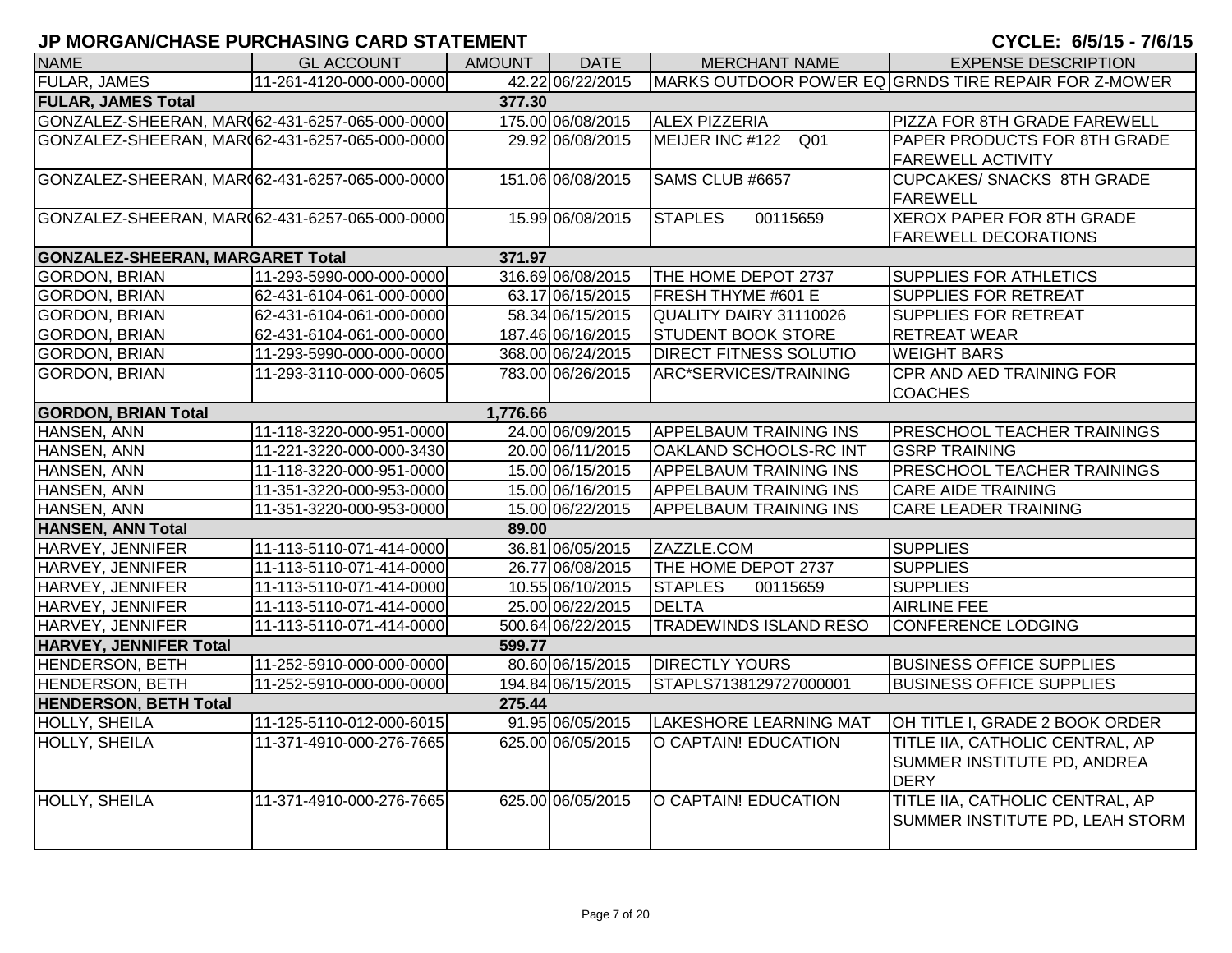| <b>NAME</b>                                    | <b>GL ACCOUNT</b>        | <b>AMOUNT</b> | <b>DATE</b>       | <b>MERCHANT NAME</b>          | <b>EXPENSE DESCRIPTION</b>                           |
|------------------------------------------------|--------------------------|---------------|-------------------|-------------------------------|------------------------------------------------------|
| FULAR, JAMES                                   | 11-261-4120-000-000-0000 |               | 42.22 06/22/2015  |                               | MARKS OUTDOOR POWER EQ GRNDS TIRE REPAIR FOR Z-MOWER |
| <b>FULAR, JAMES Total</b>                      |                          | 377.30        |                   |                               |                                                      |
| GONZALEZ-SHEERAN, MAR(62-431-6257-065-000-0000 |                          |               | 175.00 06/08/2015 | <b>ALEX PIZZERIA</b>          | <b>PIZZA FOR 8TH GRADE FAREWELL</b>                  |
| GONZALEZ-SHEERAN, MAR(62-431-6257-065-000-0000 |                          |               | 29.92 06/08/2015  | MEIJER INC #122 Q01           | <b>PAPER PRODUCTS FOR 8TH GRADE</b>                  |
|                                                |                          |               |                   |                               | <b>FAREWELL ACTIVITY</b>                             |
| GONZALEZ-SHEERAN, MAR(62-431-6257-065-000-0000 |                          |               | 151.06 06/08/2015 | SAMS CLUB #6657               | <b>CUPCAKES/ SNACKS 8TH GRADE</b>                    |
|                                                |                          |               |                   |                               | <b>FAREWELL</b>                                      |
| GONZALEZ-SHEERAN, MAR(62-431-6257-065-000-0000 |                          |               | 15.99 06/08/2015  | <b>STAPLES</b><br>00115659    | <b>XEROX PAPER FOR 8TH GRADE</b>                     |
|                                                |                          |               |                   |                               | <b>FAREWELL DECORATIONS</b>                          |
| <b>GONZALEZ-SHEERAN, MARGARET Total</b>        |                          | 371.97        |                   |                               |                                                      |
| <b>GORDON, BRIAN</b>                           | 11-293-5990-000-000-0000 |               | 316.69 06/08/2015 | THE HOME DEPOT 2737           | <b>SUPPLIES FOR ATHLETICS</b>                        |
| <b>GORDON, BRIAN</b>                           | 62-431-6104-061-000-0000 |               | 63.17 06/15/2015  | <b>FRESH THYME #601 E</b>     | <b>SUPPLIES FOR RETREAT</b>                          |
| <b>GORDON, BRIAN</b>                           | 62-431-6104-061-000-0000 |               | 58.34 06/15/2015  | QUALITY DAIRY 31110026        | <b>SUPPLIES FOR RETREAT</b>                          |
| <b>GORDON, BRIAN</b>                           | 62-431-6104-061-000-0000 |               | 187.46 06/16/2015 | <b>STUDENT BOOK STORE</b>     | <b>RETREAT WEAR</b>                                  |
| <b>GORDON, BRIAN</b>                           | 11-293-5990-000-000-0000 |               | 368.00 06/24/2015 | <b>DIRECT FITNESS SOLUTIO</b> | <b>WEIGHT BARS</b>                                   |
| <b>GORDON, BRIAN</b>                           | 11-293-3110-000-000-0605 |               | 783.00 06/26/2015 | ARC*SERVICES/TRAINING         | <b>CPR AND AED TRAINING FOR</b>                      |
|                                                |                          |               |                   |                               | <b>COACHES</b>                                       |
| <b>GORDON, BRIAN Total</b>                     |                          | 1,776.66      |                   |                               |                                                      |
| HANSEN, ANN                                    | 11-118-3220-000-951-0000 |               | 24.00 06/09/2015  | <b>APPELBAUM TRAINING INS</b> | <b>PRESCHOOL TEACHER TRAININGS</b>                   |
| HANSEN, ANN                                    | 11-221-3220-000-000-3430 |               | 20.00 06/11/2015  | <b>OAKLAND SCHOOLS-RC INT</b> | <b>GSRP TRAINING</b>                                 |
| HANSEN, ANN                                    | 11-118-3220-000-951-0000 |               | 15.00 06/15/2015  | <b>APPELBAUM TRAINING INS</b> | <b>PRESCHOOL TEACHER TRAININGS</b>                   |
| HANSEN, ANN                                    | 11-351-3220-000-953-0000 |               | 15.00 06/16/2015  | <b>APPELBAUM TRAINING INS</b> | <b>CARE AIDE TRAINING</b>                            |
| HANSEN, ANN                                    | 11-351-3220-000-953-0000 |               | 15.00 06/22/2015  | <b>APPELBAUM TRAINING INS</b> | <b>CARE LEADER TRAINING</b>                          |
| <b>HANSEN, ANN Total</b>                       |                          | 89.00         |                   |                               |                                                      |
| HARVEY, JENNIFER                               | 11-113-5110-071-414-0000 |               | 36.81 06/05/2015  | ZAZZLE.COM                    | <b>SUPPLIES</b>                                      |
| HARVEY, JENNIFER                               | 11-113-5110-071-414-0000 |               | 26.77 06/08/2015  | THE HOME DEPOT 2737           | <b>SUPPLIES</b>                                      |
| HARVEY, JENNIFER                               | 11-113-5110-071-414-0000 |               | 10.55 06/10/2015  | <b>STAPLES</b><br>00115659    | <b>SUPPLIES</b>                                      |
| HARVEY, JENNIFER                               | 11-113-5110-071-414-0000 |               | 25.00 06/22/2015  | <b>DELTA</b>                  | <b>AIRLINE FEE</b>                                   |
| HARVEY, JENNIFER                               | 11-113-5110-071-414-0000 |               | 500.64 06/22/2015 | <b>TRADEWINDS ISLAND RESO</b> | CONFERENCE LODGING                                   |
| <b>HARVEY, JENNIFER Total</b>                  |                          | 599.77        |                   |                               |                                                      |
| <b>HENDERSON, BETH</b>                         | 11-252-5910-000-000-0000 |               | 80.60 06/15/2015  | <b>DIRECTLY YOURS</b>         | <b>BUSINESS OFFICE SUPPLIES</b>                      |
| <b>HENDERSON, BETH</b>                         | 11-252-5910-000-000-0000 |               | 194.84 06/15/2015 | STAPLS7138129727000001        | <b>BUSINESS OFFICE SUPPLIES</b>                      |
| <b>HENDERSON, BETH Total</b>                   |                          | 275.44        |                   |                               |                                                      |
| HOLLY, SHEILA                                  | 11-125-5110-012-000-6015 |               | 91.95 06/05/2015  | <b>LAKESHORE LEARNING MAT</b> | OH TITLE I, GRADE 2 BOOK ORDER                       |
| HOLLY, SHEILA                                  | 11-371-4910-000-276-7665 |               | 625.00 06/05/2015 | O CAPTAIN! EDUCATION          | TITLE IIA, CATHOLIC CENTRAL, AP                      |
|                                                |                          |               |                   |                               | SUMMER INSTITUTE PD, ANDREA                          |
|                                                |                          |               |                   |                               | <b>DERY</b>                                          |
| HOLLY, SHEILA                                  | 11-371-4910-000-276-7665 |               | 625.00 06/05/2015 | O CAPTAIN! EDUCATION          | TITLE IIA, CATHOLIC CENTRAL, AP                      |
|                                                |                          |               |                   |                               | SUMMER INSTITUTE PD, LEAH STORM                      |
|                                                |                          |               |                   |                               |                                                      |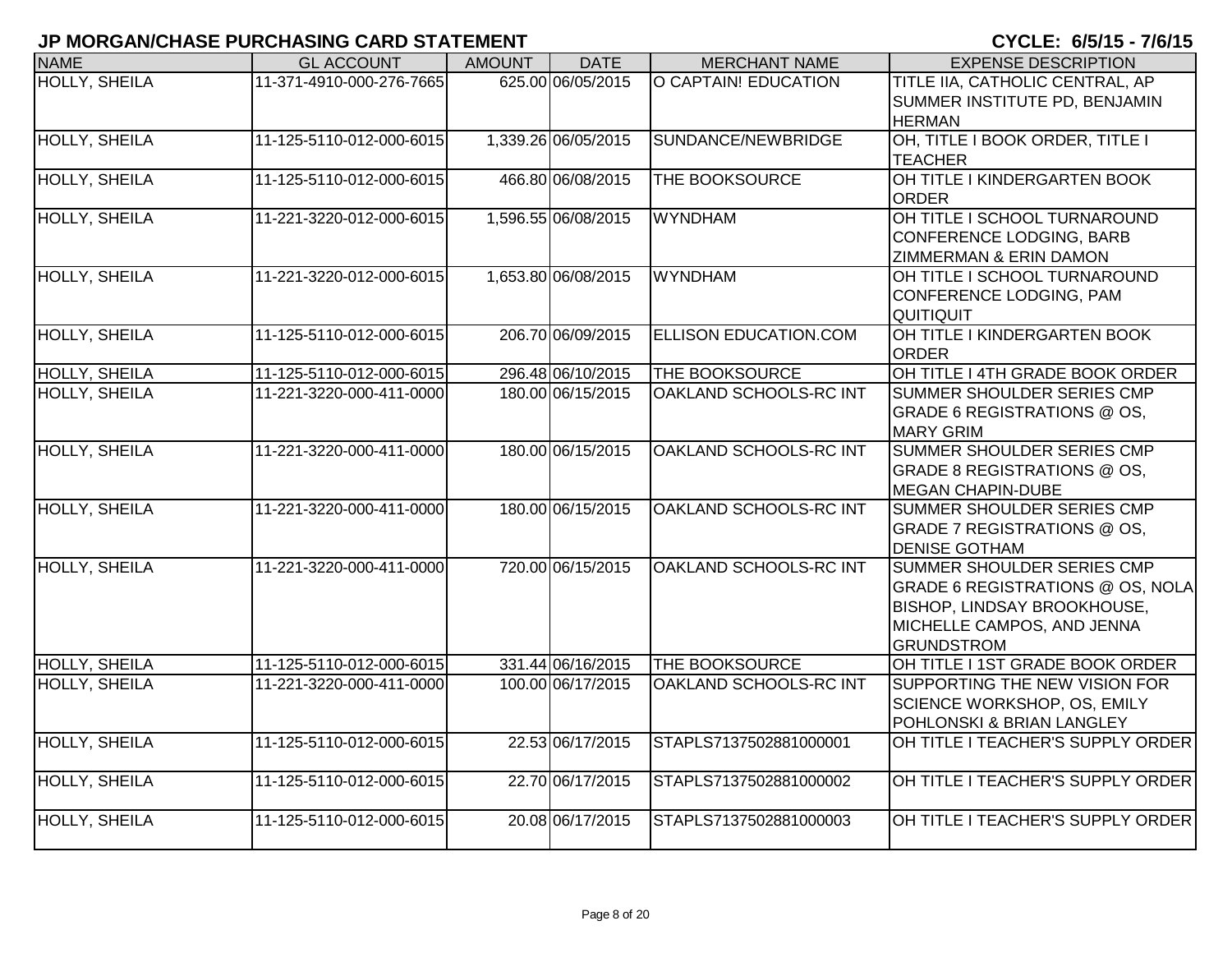| <b>NAME</b>          | <b>GL ACCOUNT</b>        | <b>AMOUNT</b>       | <b>DATE</b>       | <b>MERCHANT NAME</b>         | <b>EXPENSE DESCRIPTION</b>                                                                                                                              |
|----------------------|--------------------------|---------------------|-------------------|------------------------------|---------------------------------------------------------------------------------------------------------------------------------------------------------|
| <b>HOLLY, SHEILA</b> | 11-371-4910-000-276-7665 |                     | 625.00 06/05/2015 | O CAPTAIN! EDUCATION         | TITLE IIA, CATHOLIC CENTRAL, AP<br>SUMMER INSTITUTE PD, BENJAMIN<br><b>HERMAN</b>                                                                       |
| <b>HOLLY, SHEILA</b> | 11-125-5110-012-000-6015 | 1,339.26 06/05/2015 |                   | SUNDANCE/NEWBRIDGE           | OH, TITLE I BOOK ORDER, TITLE I<br><b>TEACHER</b>                                                                                                       |
| <b>HOLLY, SHEILA</b> | 11-125-5110-012-000-6015 |                     | 466.80 06/08/2015 | THE BOOKSOURCE               | OH TITLE I KINDERGARTEN BOOK<br><b>ORDER</b>                                                                                                            |
| <b>HOLLY, SHEILA</b> | 11-221-3220-012-000-6015 | 1,596.55 06/08/2015 |                   | <b>WYNDHAM</b>               | OH TITLE I SCHOOL TURNAROUND<br>CONFERENCE LODGING, BARB<br><b>ZIMMERMAN &amp; ERIN DAMON</b>                                                           |
| <b>HOLLY, SHEILA</b> | 11-221-3220-012-000-6015 | 1,653.80 06/08/2015 |                   | <b>WYNDHAM</b>               | OH TITLE I SCHOOL TURNAROUND<br>CONFERENCE LODGING, PAM<br>QUITIQUIT                                                                                    |
| <b>HOLLY, SHEILA</b> | 11-125-5110-012-000-6015 |                     | 206.70 06/09/2015 | <b>ELLISON EDUCATION.COM</b> | OH TITLE I KINDERGARTEN BOOK<br><b>ORDER</b>                                                                                                            |
| <b>HOLLY, SHEILA</b> | 11-125-5110-012-000-6015 |                     | 296.48 06/10/2015 | THE BOOKSOURCE               | OH TITLE I 4TH GRADE BOOK ORDER                                                                                                                         |
| HOLLY, SHEILA        | 11-221-3220-000-411-0000 |                     | 180.00 06/15/2015 | OAKLAND SCHOOLS-RC INT       | SUMMER SHOULDER SERIES CMP<br>GRADE 6 REGISTRATIONS @ OS,<br><b>MARY GRIM</b>                                                                           |
| <b>HOLLY, SHEILA</b> | 11-221-3220-000-411-0000 |                     | 180.00 06/15/2015 | OAKLAND SCHOOLS-RC INT       | SUMMER SHOULDER SERIES CMP<br>GRADE 8 REGISTRATIONS @ OS,<br><b>MEGAN CHAPIN-DUBE</b>                                                                   |
| HOLLY, SHEILA        | 11-221-3220-000-411-0000 |                     | 180.00 06/15/2015 | OAKLAND SCHOOLS-RC INT       | SUMMER SHOULDER SERIES CMP<br>GRADE 7 REGISTRATIONS @ OS,<br><b>DENISE GOTHAM</b>                                                                       |
| <b>HOLLY, SHEILA</b> | 11-221-3220-000-411-0000 |                     | 720.00 06/15/2015 | OAKLAND SCHOOLS-RC INT       | SUMMER SHOULDER SERIES CMP<br>GRADE 6 REGISTRATIONS @ OS, NOLA<br><b>BISHOP, LINDSAY BROOKHOUSE,</b><br>MICHELLE CAMPOS, AND JENNA<br><b>GRUNDSTROM</b> |
| <b>HOLLY, SHEILA</b> | 11-125-5110-012-000-6015 |                     | 331.44 06/16/2015 | <b>THE BOOKSOURCE</b>        | OH TITLE I 1ST GRADE BOOK ORDER                                                                                                                         |
| HOLLY, SHEILA        | 11-221-3220-000-411-0000 |                     | 100.00 06/17/2015 | OAKLAND SCHOOLS-RC INT       | SUPPORTING THE NEW VISION FOR<br>SCIENCE WORKSHOP, OS, EMILY<br>POHLONSKI & BRIAN LANGLEY                                                               |
| <b>HOLLY, SHEILA</b> | 11-125-5110-012-000-6015 |                     | 22.53 06/17/2015  | STAPLS7137502881000001       | OH TITLE I TEACHER'S SUPPLY ORDER                                                                                                                       |
| <b>HOLLY, SHEILA</b> | 11-125-5110-012-000-6015 |                     | 22.70 06/17/2015  | STAPLS7137502881000002       | OH TITLE I TEACHER'S SUPPLY ORDER                                                                                                                       |
| <b>HOLLY, SHEILA</b> | 11-125-5110-012-000-6015 |                     | 20.08 06/17/2015  | STAPLS7137502881000003       | OH TITLE I TEACHER'S SUPPLY ORDER                                                                                                                       |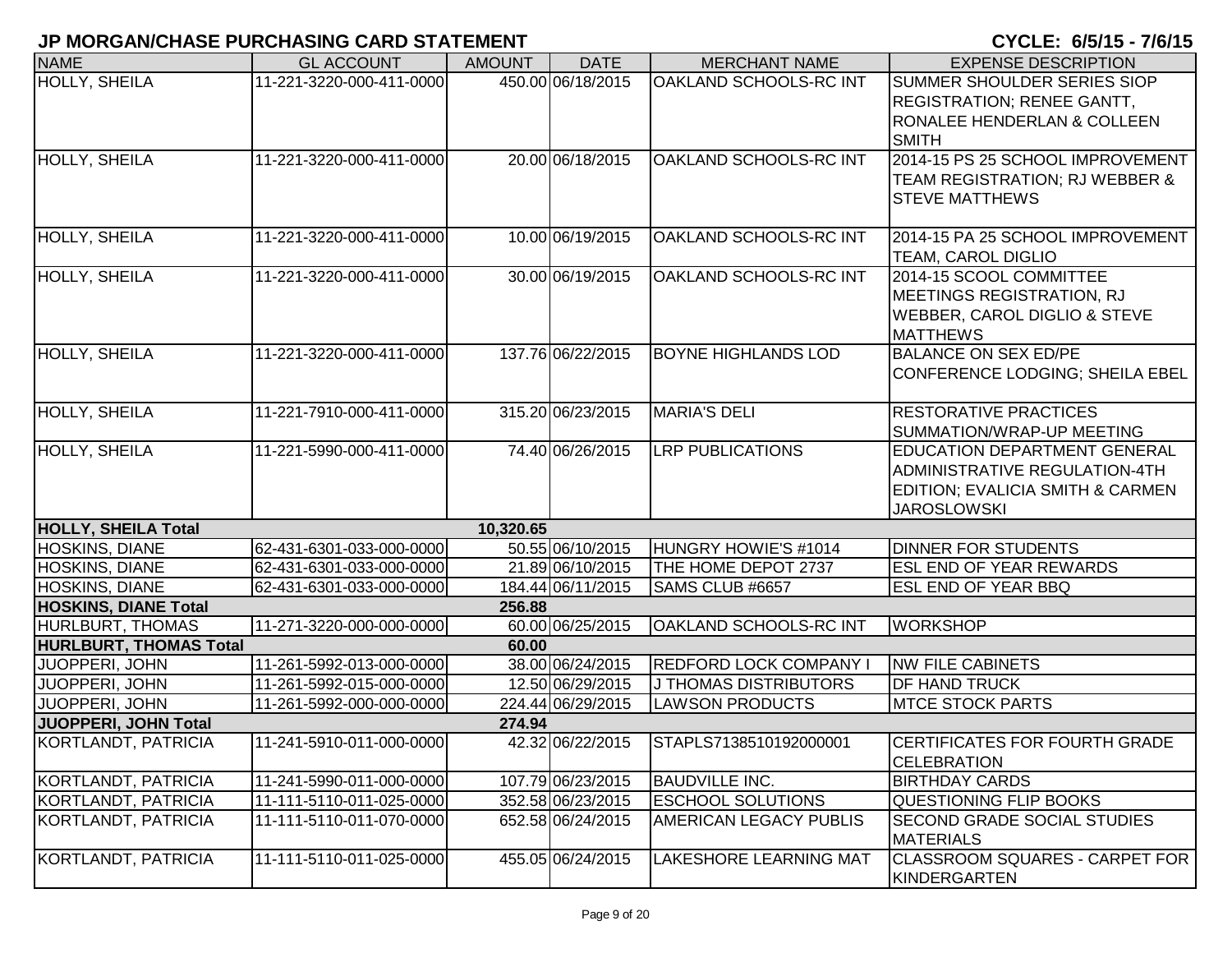| <b>NAME</b>                   | <b>GL ACCOUNT</b>                                    | <b>AMOUNT</b> | <b>DATE</b>                            | <b>MERCHANT NAME</b>          | <b>EXPENSE DESCRIPTION</b>                                    |
|-------------------------------|------------------------------------------------------|---------------|----------------------------------------|-------------------------------|---------------------------------------------------------------|
| <b>HOLLY, SHEILA</b>          | 11-221-3220-000-411-0000                             |               | 450.00 06/18/2015                      | <b>OAKLAND SCHOOLS-RC INT</b> | SUMMER SHOULDER SERIES SIOP                                   |
|                               |                                                      |               |                                        |                               | <b>REGISTRATION; RENEE GANTT,</b>                             |
|                               |                                                      |               |                                        |                               | RONALEE HENDERLAN & COLLEEN                                   |
|                               |                                                      |               |                                        |                               | <b>SMITH</b>                                                  |
| <b>HOLLY, SHEILA</b>          | 11-221-3220-000-411-0000                             |               | 20.00 06/18/2015                       | OAKLAND SCHOOLS-RC INT        | 2014-15 PS 25 SCHOOL IMPROVEMENT                              |
|                               |                                                      |               |                                        |                               | TEAM REGISTRATION; RJ WEBBER &                                |
|                               |                                                      |               |                                        |                               | <b>STEVE MATTHEWS</b>                                         |
|                               |                                                      |               | 10.00 06/19/2015                       |                               |                                                               |
| HOLLY, SHEILA                 | 11-221-3220-000-411-0000                             |               |                                        | OAKLAND SCHOOLS-RC INT        | 2014-15 PA 25 SCHOOL IMPROVEMENT<br><b>TEAM, CAROL DIGLIO</b> |
| <b>HOLLY, SHEILA</b>          | 11-221-3220-000-411-0000                             |               | 30.00 06/19/2015                       | OAKLAND SCHOOLS-RC INT        | 2014-15 SCOOL COMMITTEE                                       |
|                               |                                                      |               |                                        |                               | MEETINGS REGISTRATION, RJ                                     |
|                               |                                                      |               |                                        |                               | <b>WEBBER, CAROL DIGLIO &amp; STEVE</b>                       |
|                               |                                                      |               |                                        |                               | <b>MATTHEWS</b>                                               |
| <b>HOLLY, SHEILA</b>          | 11-221-3220-000-411-0000                             |               | 137.76 06/22/2015                      | <b>BOYNE HIGHLANDS LOD</b>    | <b>BALANCE ON SEX ED/PE</b>                                   |
|                               |                                                      |               |                                        |                               | CONFERENCE LODGING; SHEILA EBEL                               |
|                               |                                                      |               |                                        |                               |                                                               |
| <b>HOLLY, SHEILA</b>          | 11-221-7910-000-411-0000                             |               | 315.20 06/23/2015                      | <b>MARIA'S DELI</b>           | <b>RESTORATIVE PRACTICES</b>                                  |
|                               |                                                      |               |                                        |                               | SUMMATION/WRAP-UP MEETING                                     |
| <b>HOLLY, SHEILA</b>          | 11-221-5990-000-411-0000                             |               | 74.40 06/26/2015                       | <b>LRP PUBLICATIONS</b>       | <b>EDUCATION DEPARTMENT GENERAL</b>                           |
|                               |                                                      |               |                                        |                               | ADMINISTRATIVE REGULATION-4TH                                 |
|                               |                                                      |               |                                        |                               | EDITION; EVALICIA SMITH & CARMEN                              |
|                               |                                                      |               |                                        |                               | <b>JAROSLOWSKI</b>                                            |
| <b>HOLLY, SHEILA Total</b>    |                                                      | 10,320.65     |                                        |                               |                                                               |
| HOSKINS, DIANE                | 62-431-6301-033-000-0000                             |               | 50.55 06/10/2015                       | HUNGRY HOWIE'S #1014          | <b>DINNER FOR STUDENTS</b>                                    |
| <b>HOSKINS, DIANE</b>         | 62-431-6301-033-000-0000                             |               | 21.89 06/10/2015                       | THE HOME DEPOT 2737           | <b>ESL END OF YEAR REWARDS</b>                                |
| HOSKINS, DIANE                | 62-431-6301-033-000-0000                             |               | 184.44 06/11/2015                      | SAMS CLUB #6657               | <b>ESL END OF YEAR BBQ</b>                                    |
| <b>HOSKINS, DIANE Total</b>   |                                                      | 256.88        |                                        |                               |                                                               |
| HURLBURT, THOMAS              | 11-271-3220-000-000-0000                             |               | 60.00 06/25/2015                       | <b>OAKLAND SCHOOLS-RC INT</b> | <b>WORKSHOP</b>                                               |
| <b>HURLBURT, THOMAS Total</b> |                                                      | 60.00         |                                        |                               |                                                               |
| JUOPPERI, JOHN                | 11-261-5992-013-000-0000                             |               | 38.00 06/24/2015                       | <b>REDFORD LOCK COMPANY I</b> | <b>NW FILE CABINETS</b>                                       |
| JUOPPERI, JOHN                | 11-261-5992-015-000-0000                             |               | 12.50 06/29/2015                       | <b>J THOMAS DISTRIBUTORS</b>  | <b>DF HAND TRUCK</b>                                          |
| JUOPPERI, JOHN                | 11-261-5992-000-000-0000                             |               | 224.44 06/29/2015                      | <b>LAWSON PRODUCTS</b>        | <b>IMTCE STOCK PARTS</b>                                      |
| JUOPPERI, JOHN Total          |                                                      | 274.94        |                                        |                               |                                                               |
| KORTLANDT, PATRICIA           | 11-241-5910-011-000-0000                             |               | 42.32 06/22/2015                       | STAPLS7138510192000001        | <b>CERTIFICATES FOR FOURTH GRADE</b>                          |
| KORTLANDT, PATRICIA           | 11-241-5990-011-000-0000                             |               |                                        | <b>BAUDVILLE INC.</b>         | <b>CELEBRATION</b><br><b>BIRTHDAY CARDS</b>                   |
|                               |                                                      |               | 107.79 06/23/2015                      | <b>ESCHOOL SOLUTIONS</b>      |                                                               |
| KORTLANDT, PATRICIA           | 11-111-5110-011-025-0000<br>11-111-5110-011-070-0000 |               | 352.58 06/23/2015<br>652.58 06/24/2015 | <b>AMERICAN LEGACY PUBLIS</b> | <b>QUESTIONING FLIP BOOKS</b>                                 |
| KORTLANDT, PATRICIA           |                                                      |               |                                        |                               | <b>SECOND GRADE SOCIAL STUDIES</b><br><b>MATERIALS</b>        |
| KORTLANDT, PATRICIA           | 11-111-5110-011-025-0000                             |               | 455.05 06/24/2015                      | <b>LAKESHORE LEARNING MAT</b> | <b>CLASSROOM SQUARES - CARPET FOR</b>                         |
|                               |                                                      |               |                                        |                               | IKINDERGARTEN                                                 |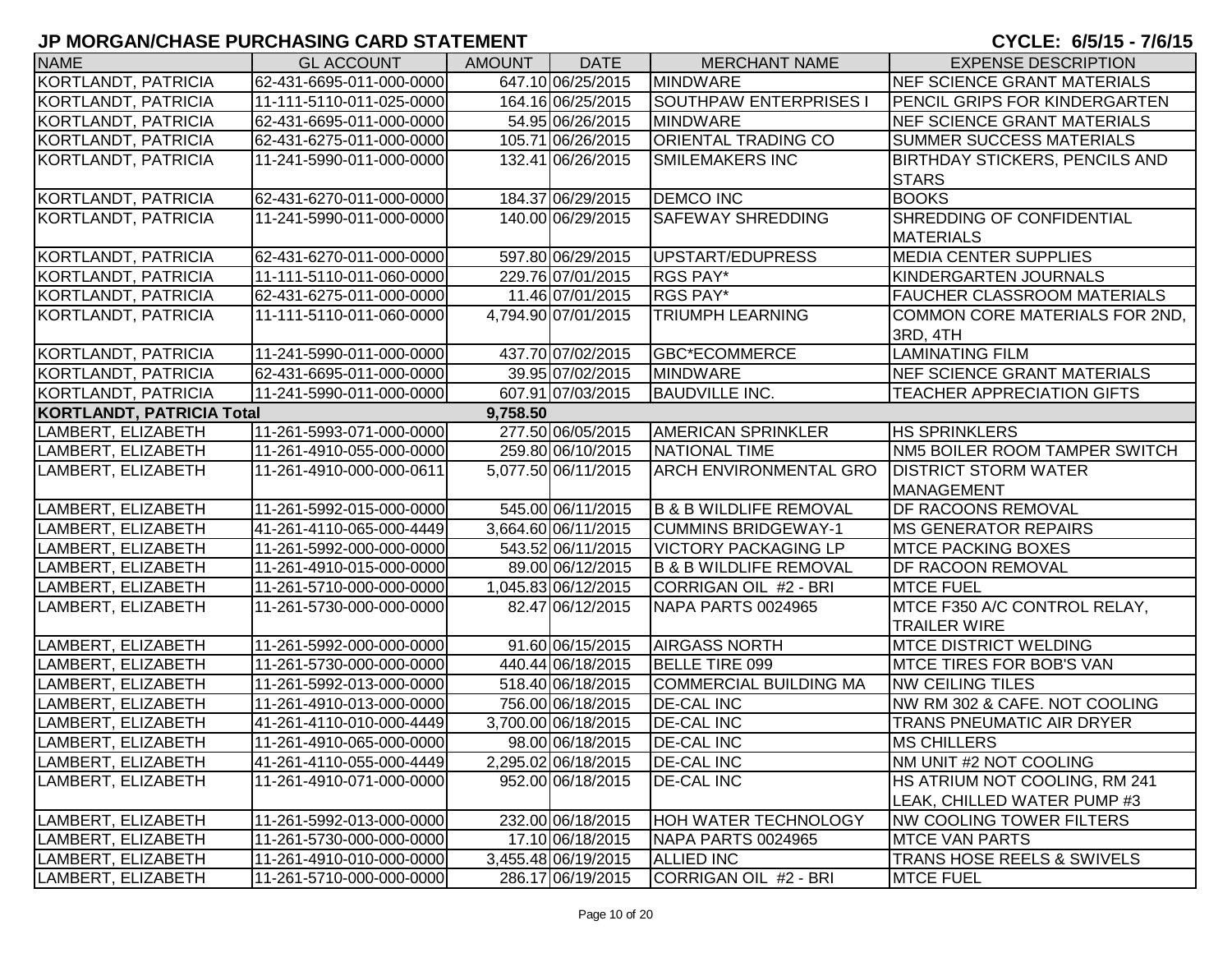| <b>NAME</b>                      | <b>GL ACCOUNT</b>        | AMOUNT   | <b>DATE</b>         | <b>MERCHANT NAME</b>              | <b>EXPENSE DESCRIPTION</b>            |
|----------------------------------|--------------------------|----------|---------------------|-----------------------------------|---------------------------------------|
| KORTLANDT, PATRICIA              | 62-431-6695-011-000-0000 |          | 647.10 06/25/2015   | <b>MINDWARE</b>                   | NEF SCIENCE GRANT MATERIALS           |
| KORTLANDT, PATRICIA              | 11-111-5110-011-025-0000 |          | 164.16 06/25/2015   | <b>SOUTHPAW ENTERPRISES I</b>     | PENCIL GRIPS FOR KINDERGARTEN         |
| KORTLANDT, PATRICIA              | 62-431-6695-011-000-0000 |          | 54.95 06/26/2015    | <b>MINDWARE</b>                   | NEF SCIENCE GRANT MATERIALS           |
| KORTLANDT, PATRICIA              | 62-431-6275-011-000-0000 |          | 105.71 06/26/2015   | ORIENTAL TRADING CO               | <b>SUMMER SUCCESS MATERIALS</b>       |
| KORTLANDT, PATRICIA              | 11-241-5990-011-000-0000 |          | 132.41 06/26/2015   | <b>SMILEMAKERS INC</b>            | <b>BIRTHDAY STICKERS, PENCILS AND</b> |
|                                  |                          |          |                     |                                   | <b>STARS</b>                          |
| KORTLANDT, PATRICIA              | 62-431-6270-011-000-0000 |          | 184.37 06/29/2015   | <b>DEMCO INC</b>                  | <b>BOOKS</b>                          |
| KORTLANDT, PATRICIA              | 11-241-5990-011-000-0000 |          | 140.00 06/29/2015   | <b>SAFEWAY SHREDDING</b>          | SHREDDING OF CONFIDENTIAL             |
|                                  |                          |          |                     |                                   | <b>MATERIALS</b>                      |
| KORTLANDT, PATRICIA              | 62-431-6270-011-000-0000 |          | 597.80 06/29/2015   | UPSTART/EDUPRESS                  | <b>MEDIA CENTER SUPPLIES</b>          |
| KORTLANDT, PATRICIA              | 11-111-5110-011-060-0000 |          | 229.76 07/01/2015   | <b>RGS PAY*</b>                   | KINDERGARTEN JOURNALS                 |
| KORTLANDT, PATRICIA              | 62-431-6275-011-000-0000 |          | 11.46 07/01/2015    | RGS PAY*                          | <b>FAUCHER CLASSROOM MATERIALS</b>    |
| KORTLANDT, PATRICIA              | 11-111-5110-011-060-0000 |          | 4,794.90 07/01/2015 | <b>TRIUMPH LEARNING</b>           | COMMON CORE MATERIALS FOR 2ND,        |
|                                  |                          |          |                     |                                   | 3RD, 4TH                              |
| KORTLANDT, PATRICIA              | 11-241-5990-011-000-0000 |          | 437.70 07/02/2015   | GBC*ECOMMERCE                     | <b>LAMINATING FILM</b>                |
| KORTLANDT, PATRICIA              | 62-431-6695-011-000-0000 |          | 39.95 07/02/2015    | <b>MINDWARE</b>                   | NEF SCIENCE GRANT MATERIALS           |
| KORTLANDT, PATRICIA              | 11-241-5990-011-000-0000 |          | 607.91 07/03/2015   | <b>BAUDVILLE INC.</b>             | TEACHER APPRECIATION GIFTS            |
| <b>KORTLANDT, PATRICIA Total</b> |                          | 9,758.50 |                     |                                   |                                       |
| LAMBERT, ELIZABETH               | 11-261-5993-071-000-0000 |          | 277.50 06/05/2015   | <b>AMERICAN SPRINKLER</b>         | <b>HS SPRINKLERS</b>                  |
| LAMBERT, ELIZABETH               | 11-261-4910-055-000-0000 |          | 259.80 06/10/2015   | NATIONAL TIME                     | NM5 BOILER ROOM TAMPER SWITCH         |
| LAMBERT, ELIZABETH               | 11-261-4910-000-000-0611 |          | 5,077.50 06/11/2015 | <b>ARCH ENVIRONMENTAL GRO</b>     | <b>DISTRICT STORM WATER</b>           |
|                                  |                          |          |                     |                                   | MANAGEMENT                            |
| LAMBERT, ELIZABETH               | 11-261-5992-015-000-0000 |          | 545.00 06/11/2015   | <b>B &amp; B WILDLIFE REMOVAL</b> | DF RACOONS REMOVAL                    |
| LAMBERT, ELIZABETH               | 41-261-4110-065-000-4449 |          | 3,664.60 06/11/2015 | <b>CUMMINS BRIDGEWAY-1</b>        | <b>MS GENERATOR REPAIRS</b>           |
| LAMBERT, ELIZABETH               | 11-261-5992-000-000-0000 |          | 543.52 06/11/2015   | <b>VICTORY PACKAGING LP</b>       | <b>IMTCE PACKING BOXES</b>            |
| LAMBERT, ELIZABETH               | 11-261-4910-015-000-0000 |          | 89.00 06/12/2015    | <b>B &amp; B WILDLIFE REMOVAL</b> | <b>DF RACOON REMOVAL</b>              |
| LAMBERT, ELIZABETH               | 11-261-5710-000-000-0000 |          | 1,045.83 06/12/2015 | CORRIGAN OIL #2 - BRI             | <b>MTCE FUEL</b>                      |
| LAMBERT, ELIZABETH               | 11-261-5730-000-000-0000 |          | 82.47 06/12/2015    | NAPA PARTS 0024965                | MTCE F350 A/C CONTROL RELAY,          |
|                                  |                          |          |                     |                                   | <b>TRAILER WIRE</b>                   |
| LAMBERT, ELIZABETH               | 11-261-5992-000-000-0000 |          | 91.60 06/15/2015    | <b>AIRGASS NORTH</b>              | <b>MTCE DISTRICT WELDING</b>          |
| LAMBERT, ELIZABETH               | 11-261-5730-000-000-0000 |          | 440.44 06/18/2015   | BELLE TIRE 099                    | <b>IMTCE TIRES FOR BOB'S VAN</b>      |
| LAMBERT, ELIZABETH               | 11-261-5992-013-000-0000 |          | 518.40 06/18/2015   | COMMERCIAL BUILDING MA            | <b>NW CEILING TILES</b>               |
| LAMBERT, ELIZABETH               | 11-261-4910-013-000-0000 |          | 756.00 06/18/2015   | <b>DE-CAL INC</b>                 | NW RM 302 & CAFE. NOT COOLING         |
| LAMBERT, ELIZABETH               | 41-261-4110-010-000-4449 |          | 3,700.00 06/18/2015 | <b>DE-CAL INC</b>                 | TRANS PNEUMATIC AIR DRYER             |
| LAMBERT, ELIZABETH               | 11-261-4910-065-000-0000 |          | 98.00 06/18/2015    | <b>DE-CAL INC</b>                 | <b>MS CHILLERS</b>                    |
| LAMBERT, ELIZABETH               | 41-261-4110-055-000-4449 |          | 2,295.02 06/18/2015 | <b>DE-CAL INC</b>                 | NM UNIT #2 NOT COOLING                |
| LAMBERT, ELIZABETH               | 11-261-4910-071-000-0000 |          | 952.00 06/18/2015   | <b>DE-CAL INC</b>                 | HS ATRIUM NOT COOLING, RM 241         |
|                                  |                          |          |                     |                                   | LEAK, CHILLED WATER PUMP #3           |
| LAMBERT, ELIZABETH               | 11-261-5992-013-000-0000 |          | 232.00 06/18/2015   | HOH WATER TECHNOLOGY              | <b>NW COOLING TOWER FILTERS</b>       |
| LAMBERT, ELIZABETH               | 11-261-5730-000-000-0000 |          | 17.10 06/18/2015    | NAPA PARTS 0024965                | <b>MTCE VAN PARTS</b>                 |
| LAMBERT, ELIZABETH               | 11-261-4910-010-000-0000 |          | 3,455.48 06/19/2015 | <b>ALLIED INC</b>                 | TRANS HOSE REELS & SWIVELS            |
| LAMBERT, ELIZABETH               | 11-261-5710-000-000-0000 |          | 286.17 06/19/2015   | CORRIGAN OIL #2 - BRI             | <b>MTCE FUEL</b>                      |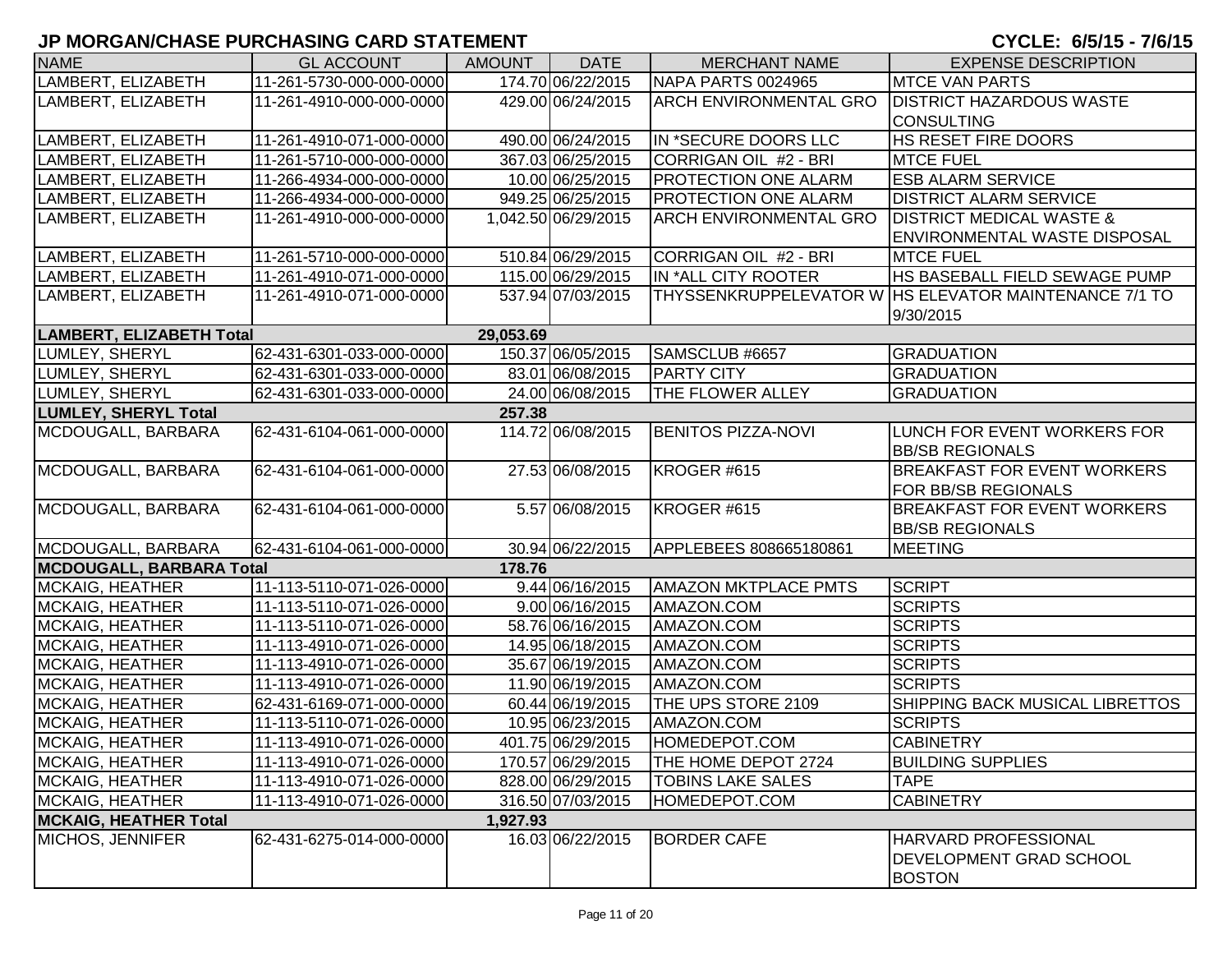| <b>NAME</b>                     | <b>GL ACCOUNT</b>        | <b>AMOUNT</b> | <b>DATE</b>         | <b>MERCHANT NAME</b>          | <b>EXPENSE DESCRIPTION</b>                            |
|---------------------------------|--------------------------|---------------|---------------------|-------------------------------|-------------------------------------------------------|
| LAMBERT, ELIZABETH              | 11-261-5730-000-000-0000 |               | 174.70 06/22/2015   | NAPA PARTS 0024965            | <b>MTCE VAN PARTS</b>                                 |
| LAMBERT, ELIZABETH              | 11-261-4910-000-000-0000 |               | 429.00 06/24/2015   | <b>ARCH ENVIRONMENTAL GRO</b> | <b>DISTRICT HAZARDOUS WASTE</b>                       |
|                                 |                          |               |                     |                               | <b>CONSULTING</b>                                     |
| LAMBERT, ELIZABETH              | 11-261-4910-071-000-0000 |               | 490.00 06/24/2015   | IN *SECURE DOORS LLC          | <b>HS RESET FIRE DOORS</b>                            |
| LAMBERT, ELIZABETH              | 11-261-5710-000-000-0000 |               | 367.03 06/25/2015   | CORRIGAN OIL #2 - BRI         | <b>MTCE FUEL</b>                                      |
| LAMBERT, ELIZABETH              | 11-266-4934-000-000-0000 |               | 10.00 06/25/2015    | <b>PROTECTION ONE ALARM</b>   | <b>ESB ALARM SERVICE</b>                              |
| LAMBERT, ELIZABETH              | 11-266-4934-000-000-0000 |               | 949.25 06/25/2015   | <b>PROTECTION ONE ALARM</b>   | <b>DISTRICT ALARM SERVICE</b>                         |
| LAMBERT, ELIZABETH              | 11-261-4910-000-000-0000 |               | 1,042.50 06/29/2015 | <b>ARCH ENVIRONMENTAL GRO</b> | <b>DISTRICT MEDICAL WASTE &amp;</b>                   |
|                                 |                          |               |                     |                               | ENVIRONMENTAL WASTE DISPOSAL                          |
| LAMBERT, ELIZABETH              | 11-261-5710-000-000-0000 |               | 510.84 06/29/2015   | CORRIGAN OIL #2 - BRI         | <b>MTCE FUEL</b>                                      |
| LAMBERT, ELIZABETH              | 11-261-4910-071-000-0000 |               | 115.00 06/29/2015   | IN *ALL CITY ROOTER           | HS BASEBALL FIELD SEWAGE PUMP                         |
| LAMBERT, ELIZABETH              | 11-261-4910-071-000-0000 |               | 537.94 07/03/2015   |                               | THYSSENKRUPPELEVATOR W HS ELEVATOR MAINTENANCE 7/1 TO |
|                                 |                          |               |                     |                               | 9/30/2015                                             |
| <b>LAMBERT, ELIZABETH Total</b> |                          | 29,053.69     |                     |                               |                                                       |
| LUMLEY, SHERYL                  | 62-431-6301-033-000-0000 |               | 150.37 06/05/2015   | SAMSCLUB #6657                | <b>GRADUATION</b>                                     |
| LUMLEY, SHERYL                  | 62-431-6301-033-000-0000 |               | 83.01 06/08/2015    | <b>PARTY CITY</b>             | <b>GRADUATION</b>                                     |
| LUMLEY, SHERYL                  | 62-431-6301-033-000-0000 |               | 24.00 06/08/2015    | <b>THE FLOWER ALLEY</b>       | <b>GRADUATION</b>                                     |
| <b>LUMLEY, SHERYL Total</b>     |                          | 257.38        |                     |                               |                                                       |
| MCDOUGALL, BARBARA              | 62-431-6104-061-000-0000 |               | 114.72 06/08/2015   | <b>BENITOS PIZZA-NOVI</b>     | LUNCH FOR EVENT WORKERS FOR                           |
|                                 |                          |               |                     |                               | <b>BB/SB REGIONALS</b>                                |
| MCDOUGALL, BARBARA              | 62-431-6104-061-000-0000 |               | 27.53 06/08/2015    | KROGER #615                   | <b>BREAKFAST FOR EVENT WORKERS</b>                    |
|                                 |                          |               |                     |                               | <b>FOR BB/SB REGIONALS</b>                            |
| MCDOUGALL, BARBARA              | 62-431-6104-061-000-0000 |               | 5.57 06/08/2015     | KROGER #615                   | <b>BREAKFAST FOR EVENT WORKERS</b>                    |
|                                 |                          |               |                     |                               | <b>BB/SB REGIONALS</b>                                |
| MCDOUGALL, BARBARA              | 62-431-6104-061-000-0000 |               | 30.94 06/22/2015    | APPLEBEES 808665180861        | <b>MEETING</b>                                        |
| <b>MCDOUGALL, BARBARA Total</b> |                          | 178.76        |                     |                               |                                                       |
| MCKAIG, HEATHER                 | 11-113-5110-071-026-0000 |               | 9.44 06/16/2015     | <b>AMAZON MKTPLACE PMTS</b>   | <b>SCRIPT</b>                                         |
| MCKAIG, HEATHER                 | 11-113-5110-071-026-0000 |               | 9.00 06/16/2015     | AMAZON.COM                    | <b>SCRIPTS</b>                                        |
| MCKAIG, HEATHER                 | 11-113-5110-071-026-0000 |               | 58.76 06/16/2015    | AMAZON.COM                    | <b>SCRIPTS</b>                                        |
| MCKAIG, HEATHER                 | 11-113-4910-071-026-0000 |               | 14.95 06/18/2015    | AMAZON.COM                    | <b>SCRIPTS</b>                                        |
| <b>MCKAIG, HEATHER</b>          | 11-113-4910-071-026-0000 |               | 35.67 06/19/2015    | AMAZON.COM                    | <b>SCRIPTS</b>                                        |
| <b>MCKAIG, HEATHER</b>          | 11-113-4910-071-026-0000 |               | 11.90 06/19/2015    | AMAZON.COM                    | <b>SCRIPTS</b>                                        |
| <b>MCKAIG, HEATHER</b>          | 62-431-6169-071-000-0000 |               | 60.44 06/19/2015    | THE UPS STORE 2109            | SHIPPING BACK MUSICAL LIBRETTOS                       |
| <b>MCKAIG, HEATHER</b>          | 11-113-5110-071-026-0000 |               | 10.95 06/23/2015    | AMAZON.COM                    | <b>SCRIPTS</b>                                        |
| MCKAIG, HEATHER                 | 11-113-4910-071-026-0000 |               | 401.75 06/29/2015   | HOMEDEPOT.COM                 | <b>CABINETRY</b>                                      |
| MCKAIG, HEATHER                 | 11-113-4910-071-026-0000 |               | 170.57 06/29/2015   | THE HOME DEPOT 2724           | <b>BUILDING SUPPLIES</b>                              |
| MCKAIG, HEATHER                 | 11-113-4910-071-026-0000 |               | 828.00 06/29/2015   | <b>TOBINS LAKE SALES</b>      | <b>TAPE</b>                                           |
| MCKAIG, HEATHER                 | 11-113-4910-071-026-0000 |               | 316.50 07/03/2015   | HOMEDEPOT.COM                 | <b>CABINETRY</b>                                      |
| <b>MCKAIG, HEATHER Total</b>    |                          | 1,927.93      |                     |                               |                                                       |
| MICHOS, JENNIFER                | 62-431-6275-014-000-0000 |               | 16.03 06/22/2015    | <b>BORDER CAFE</b>            | <b>HARVARD PROFESSIONAL</b>                           |
|                                 |                          |               |                     |                               | <b>DEVELOPMENT GRAD SCHOOL</b>                        |
|                                 |                          |               |                     |                               | <b>BOSTON</b>                                         |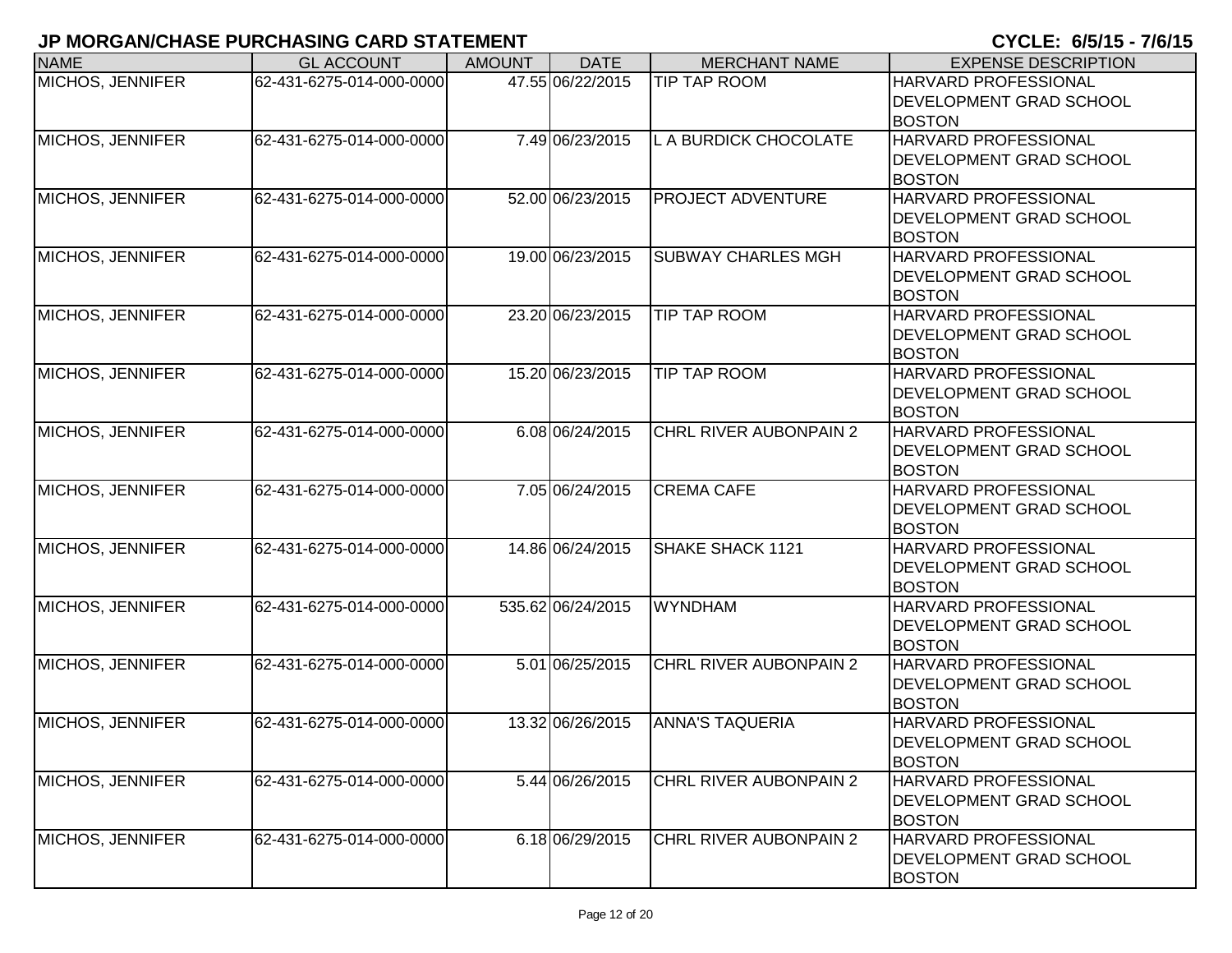| <b>NAME</b>             | <b>GL ACCOUNT</b>        | <b>AMOUNT</b> | <b>DATE</b>       | <b>MERCHANT NAME</b>          | <b>EXPENSE DESCRIPTION</b>                                                     |
|-------------------------|--------------------------|---------------|-------------------|-------------------------------|--------------------------------------------------------------------------------|
| <b>MICHOS, JENNIFER</b> | 62-431-6275-014-000-0000 |               | 47.55 06/22/2015  | <b>TIP TAP ROOM</b>           | HARVARD PROFESSIONAL<br><b>IDEVELOPMENT GRAD SCHOOL</b><br><b>BOSTON</b>       |
| MICHOS, JENNIFER        | 62-431-6275-014-000-0000 |               | 7.49 06/23/2015   | L A BURDICK CHOCOLATE         | <b>HARVARD PROFESSIONAL</b><br><b>DEVELOPMENT GRAD SCHOOL</b><br><b>BOSTON</b> |
| MICHOS, JENNIFER        | 62-431-6275-014-000-0000 |               | 52.00 06/23/2015  | <b>PROJECT ADVENTURE</b>      | <b>HARVARD PROFESSIONAL</b><br><b>DEVELOPMENT GRAD SCHOOL</b><br><b>BOSTON</b> |
| MICHOS, JENNIFER        | 62-431-6275-014-000-0000 |               | 19.00 06/23/2015  | <b>SUBWAY CHARLES MGH</b>     | <b>HARVARD PROFESSIONAL</b><br><b>DEVELOPMENT GRAD SCHOOL</b><br><b>BOSTON</b> |
| MICHOS, JENNIFER        | 62-431-6275-014-000-0000 |               | 23.20 06/23/2015  | <b>TIP TAP ROOM</b>           | HARVARD PROFESSIONAL<br><b>DEVELOPMENT GRAD SCHOOL</b><br><b>BOSTON</b>        |
| MICHOS, JENNIFER        | 62-431-6275-014-000-0000 |               | 15.20 06/23/2015  | <b>TIP TAP ROOM</b>           | <b>HARVARD PROFESSIONAL</b><br><b>DEVELOPMENT GRAD SCHOOL</b><br><b>BOSTON</b> |
| <b>MICHOS, JENNIFER</b> | 62-431-6275-014-000-0000 |               | 6.08 06/24/2015   | CHRL RIVER AUBONPAIN 2        | <b>HARVARD PROFESSIONAL</b><br><b>DEVELOPMENT GRAD SCHOOL</b><br><b>BOSTON</b> |
| <b>MICHOS, JENNIFER</b> | 62-431-6275-014-000-0000 |               | 7.05 06/24/2015   | <b>CREMA CAFE</b>             | <b>HARVARD PROFESSIONAL</b><br><b>DEVELOPMENT GRAD SCHOOL</b><br><b>BOSTON</b> |
| MICHOS, JENNIFER        | 62-431-6275-014-000-0000 |               | 14.86 06/24/2015  | SHAKE SHACK 1121              | <b>HARVARD PROFESSIONAL</b><br><b>DEVELOPMENT GRAD SCHOOL</b><br><b>BOSTON</b> |
| MICHOS, JENNIFER        | 62-431-6275-014-000-0000 |               | 535.62 06/24/2015 | <b>WYNDHAM</b>                | <b>HARVARD PROFESSIONAL</b><br><b>DEVELOPMENT GRAD SCHOOL</b><br><b>BOSTON</b> |
| MICHOS, JENNIFER        | 62-431-6275-014-000-0000 |               | 5.01 06/25/2015   | CHRL RIVER AUBONPAIN 2        | HARVARD PROFESSIONAL<br><b>DEVELOPMENT GRAD SCHOOL</b><br><b>BOSTON</b>        |
| MICHOS, JENNIFER        | 62-431-6275-014-000-0000 |               | 13.32 06/26/2015  | <b>ANNA'S TAQUERIA</b>        | <b>HARVARD PROFESSIONAL</b><br>IDEVELOPMENT GRAD SCHOOL<br><b>BOSTON</b>       |
| MICHOS, JENNIFER        | 62-431-6275-014-000-0000 |               | 5.44 06/26/2015   | <b>CHRL RIVER AUBONPAIN 2</b> | <b>HARVARD PROFESSIONAL</b><br><b>DEVELOPMENT GRAD SCHOOL</b><br><b>BOSTON</b> |
| MICHOS, JENNIFER        | 62-431-6275-014-000-0000 |               | 6.18 06/29/2015   | CHRL RIVER AUBONPAIN 2        | <b>HARVARD PROFESSIONAL</b><br><b>DEVELOPMENT GRAD SCHOOL</b><br><b>BOSTON</b> |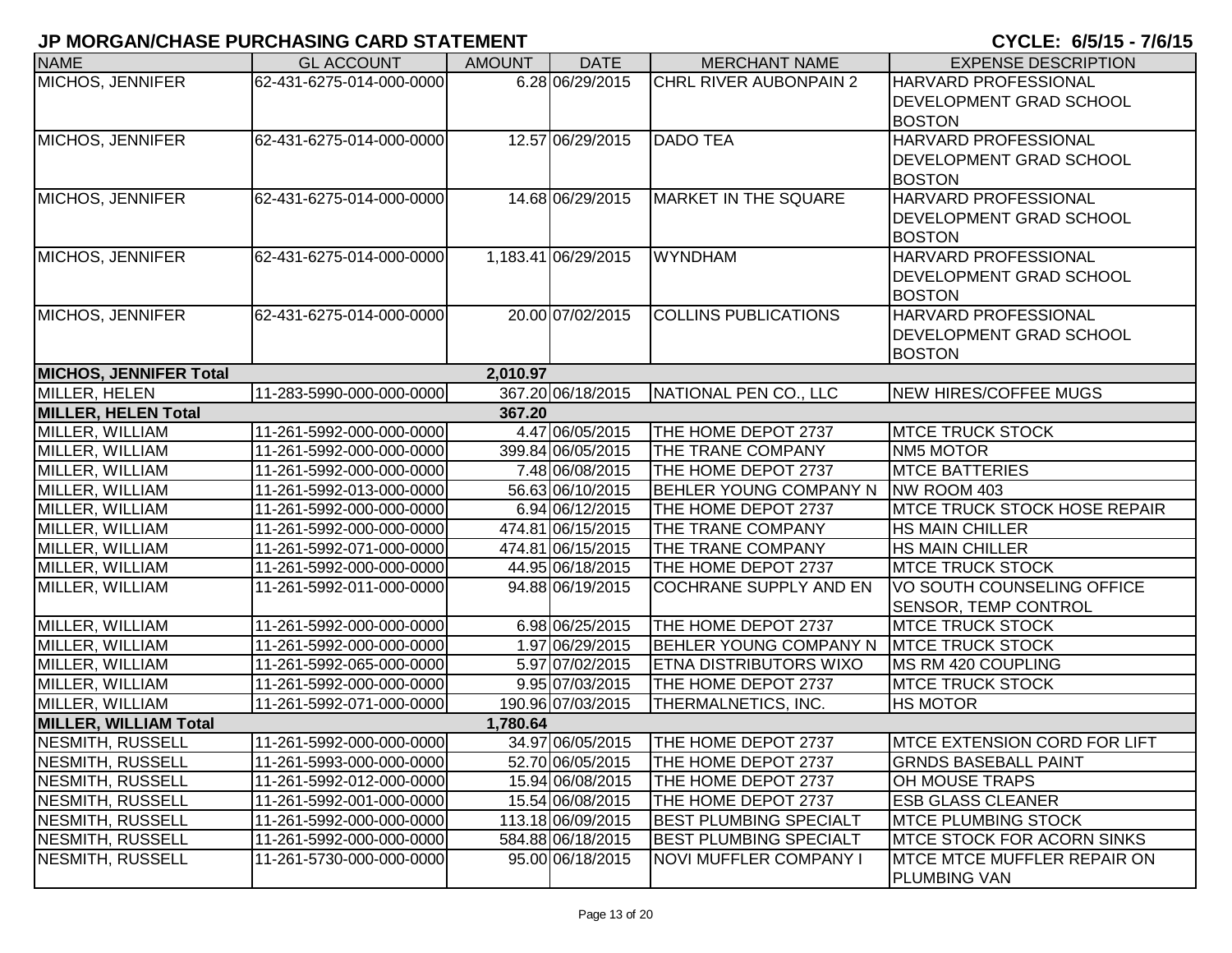| <b>NAME</b>                   | <b>GL ACCOUNT</b>        | <b>AMOUNT</b> | <b>DATE</b>         | <b>MERCHANT NAME</b>          | <b>EXPENSE DESCRIPTION</b>           |
|-------------------------------|--------------------------|---------------|---------------------|-------------------------------|--------------------------------------|
| <b>MICHOS, JENNIFER</b>       | 62-431-6275-014-000-0000 |               | 6.28 06/29/2015     | CHRL RIVER AUBONPAIN 2        | HARVARD PROFESSIONAL                 |
|                               |                          |               |                     |                               | <b>DEVELOPMENT GRAD SCHOOL</b>       |
|                               |                          |               |                     |                               | <b>BOSTON</b>                        |
| MICHOS, JENNIFER              | 62-431-6275-014-000-0000 |               | 12.57 06/29/2015    | <b>DADO TEA</b>               | <b>HARVARD PROFESSIONAL</b>          |
|                               |                          |               |                     |                               | <b>DEVELOPMENT GRAD SCHOOL</b>       |
|                               |                          |               |                     |                               | <b>BOSTON</b>                        |
| MICHOS, JENNIFER              | 62-431-6275-014-000-0000 |               | 14.68 06/29/2015    | <b>MARKET IN THE SQUARE</b>   | <b>HARVARD PROFESSIONAL</b>          |
|                               |                          |               |                     |                               | <b>DEVELOPMENT GRAD SCHOOL</b>       |
|                               |                          |               |                     |                               | <b>BOSTON</b>                        |
| MICHOS, JENNIFER              | 62-431-6275-014-000-0000 |               | 1,183.41 06/29/2015 | <b>WYNDHAM</b>                | HARVARD PROFESSIONAL                 |
|                               |                          |               |                     |                               | <b>DEVELOPMENT GRAD SCHOOL</b>       |
|                               |                          |               |                     |                               | <b>BOSTON</b>                        |
| MICHOS, JENNIFER              | 62-431-6275-014-000-0000 |               | 20.00 07/02/2015    | <b>COLLINS PUBLICATIONS</b>   | HARVARD PROFESSIONAL                 |
|                               |                          |               |                     |                               | <b>DEVELOPMENT GRAD SCHOOL</b>       |
|                               |                          |               |                     |                               | <b>BOSTON</b>                        |
| <b>MICHOS, JENNIFER Total</b> |                          | 2,010.97      |                     |                               |                                      |
| MILLER, HELEN                 | 11-283-5990-000-000-0000 |               | 367.20 06/18/2015   | NATIONAL PEN CO., LLC         | NEW HIRES/COFFEE MUGS                |
| <b>MILLER, HELEN Total</b>    |                          | 367.20        |                     |                               |                                      |
| MILLER, WILLIAM               | 11-261-5992-000-000-0000 |               | 4.47 06/05/2015     | THE HOME DEPOT 2737           | <b>MTCE TRUCK STOCK</b>              |
| MILLER, WILLIAM               | 11-261-5992-000-000-0000 |               | 399.84 06/05/2015   | THE TRANE COMPANY             | <b>NM5 MOTOR</b>                     |
| MILLER, WILLIAM               | 11-261-5992-000-000-0000 |               | 7.48 06/08/2015     | THE HOME DEPOT 2737           | <b>MTCE BATTERIES</b>                |
| MILLER, WILLIAM               | 11-261-5992-013-000-0000 |               | 56.63 06/10/2015    | <b>BEHLER YOUNG COMPANY N</b> | NW ROOM 403                          |
| MILLER, WILLIAM               | 11-261-5992-000-000-0000 |               | 6.94 06/12/2015     | THE HOME DEPOT 2737           | <b>MTCE TRUCK STOCK HOSE REPAIR</b>  |
| MILLER, WILLIAM               | 11-261-5992-000-000-0000 |               | 474.81 06/15/2015   | THE TRANE COMPANY             | <b>HS MAIN CHILLER</b>               |
| MILLER, WILLIAM               | 11-261-5992-071-000-0000 |               | 474.81 06/15/2015   | THE TRANE COMPANY             | <b>HS MAIN CHILLER</b>               |
| MILLER, WILLIAM               | 11-261-5992-000-000-0000 |               | 44.95 06/18/2015    | THE HOME DEPOT 2737           | <b>MTCE TRUCK STOCK</b>              |
| MILLER, WILLIAM               | 11-261-5992-011-000-0000 |               | 94.88 06/19/2015    | COCHRANE SUPPLY AND EN        | VO SOUTH COUNSELING OFFICE           |
|                               |                          |               |                     |                               | SENSOR, TEMP CONTROL                 |
| MILLER, WILLIAM               | 11-261-5992-000-000-0000 |               | 6.98 06/25/2015     | THE HOME DEPOT 2737           | <b>MTCE TRUCK STOCK</b>              |
| MILLER, WILLIAM               | 11-261-5992-000-000-0000 |               | 1.97 06/29/2015     | BEHLER YOUNG COMPANY N        | <b>IMTCE TRUCK STOCK</b>             |
| MILLER, WILLIAM               | 11-261-5992-065-000-0000 |               | 5.97 07/02/2015     | <b>ETNA DISTRIBUTORS WIXO</b> | MS RM 420 COUPLING                   |
| MILLER, WILLIAM               | 11-261-5992-000-000-0000 |               | 9.95 07/03/2015     | THE HOME DEPOT 2737           | <b>MTCE TRUCK STOCK</b>              |
| MILLER, WILLIAM               | 11-261-5992-071-000-0000 |               | 190.96 07/03/2015   | THERMALNETICS, INC.           | <b>HS MOTOR</b>                      |
| <b>MILLER, WILLIAM Total</b>  |                          | 1,780.64      |                     |                               |                                      |
| NESMITH, RUSSELI              | 11-261-5992-000-000-0000 |               | 34.97 06/05/2015    | THE HOME DEPOT 2737           | <b>IMTCE EXTENSION CORD FOR LIFT</b> |
| NESMITH, RUSSELL              | 11-261-5993-000-000-0000 |               | 52.70 06/05/2015    | THE HOME DEPOT 2737           | <b>GRNDS BASEBALL PAINT</b>          |
| NESMITH, RUSSELL              | 11-261-5992-012-000-0000 |               | 15.94 06/08/2015    | THE HOME DEPOT 2737           | <b>OH MOUSE TRAPS</b>                |
| NESMITH, RUSSELL              | 11-261-5992-001-000-0000 |               | 15.54 06/08/2015    | THE HOME DEPOT 2737           | <b>ESB GLASS CLEANER</b>             |
| NESMITH, RUSSELL              | 11-261-5992-000-000-0000 |               | 113.18 06/09/2015   | <b>BEST PLUMBING SPECIALT</b> | <b>MTCE PLUMBING STOCK</b>           |
| NESMITH, RUSSELL              | 11-261-5992-000-000-0000 |               | 584.88 06/18/2015   | <b>BEST PLUMBING SPECIALT</b> | <b>IMTCE STOCK FOR ACORN SINKS</b>   |
| NESMITH, RUSSELL              | 11-261-5730-000-000-0000 |               | 95.00 06/18/2015    | NOVI MUFFLER COMPANY I        | <b>IMTCE MTCE MUFFLER REPAIR ON</b>  |
|                               |                          |               |                     |                               | <b>PLUMBING VAN</b>                  |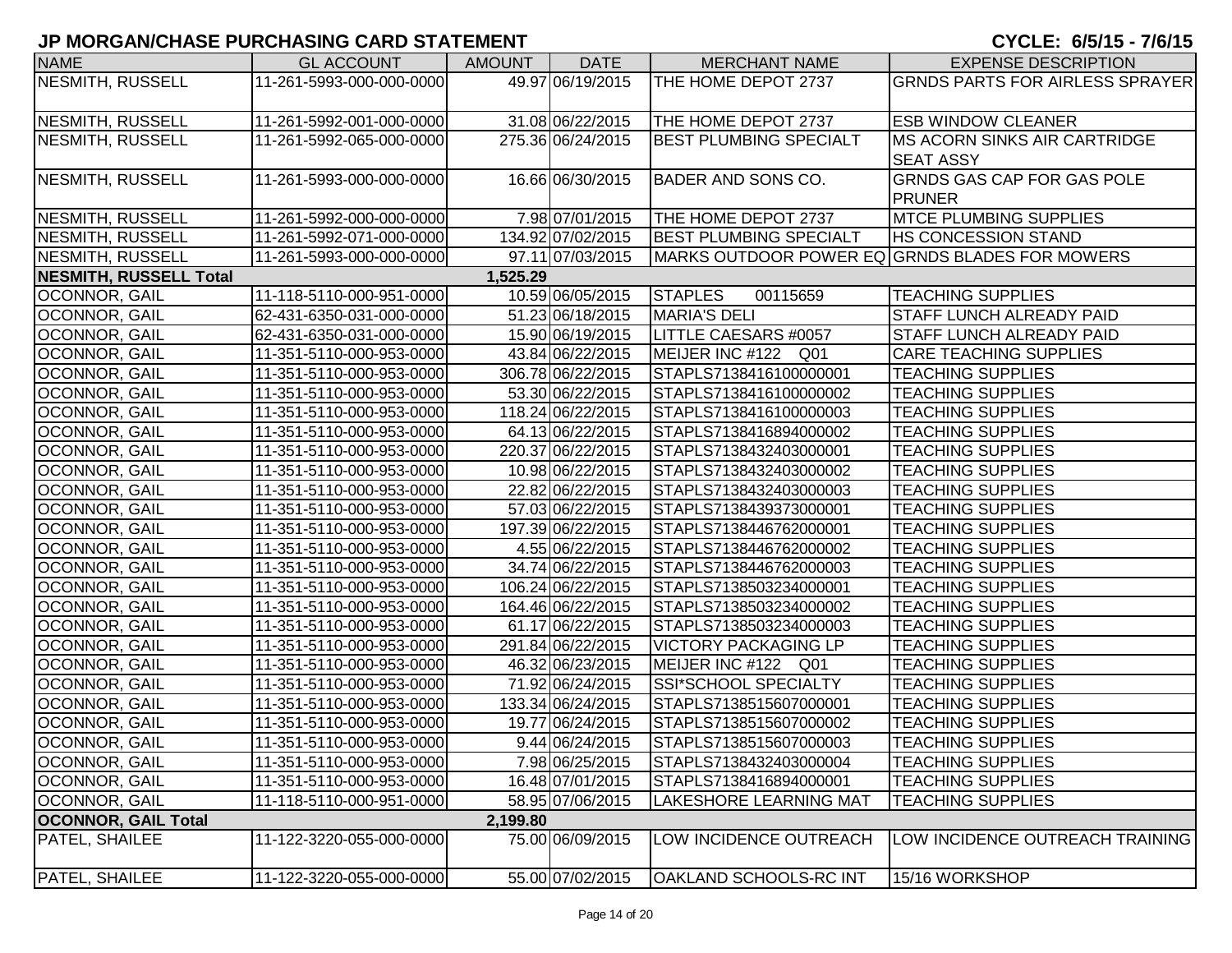| <b>NAME</b>                   | <b>GL ACCOUNT</b>        | AMOUNT   | <b>DATE</b>       | <b>MERCHANT NAME</b>          | <b>EXPENSE DESCRIPTION</b>                     |
|-------------------------------|--------------------------|----------|-------------------|-------------------------------|------------------------------------------------|
| <b>NESMITH, RUSSELL</b>       | 11-261-5993-000-000-0000 |          | 49.97 06/19/2015  | THE HOME DEPOT 2737           | <b>GRNDS PARTS FOR AIRLESS SPRAYER</b>         |
|                               |                          |          |                   |                               |                                                |
| NESMITH, RUSSELL              | 11-261-5992-001-000-0000 |          | 31.08 06/22/2015  | THE HOME DEPOT 2737           | <b>ESB WINDOW CLEANER</b>                      |
| NESMITH, RUSSELL              | 11-261-5992-065-000-0000 |          | 275.36 06/24/2015 | <b>BEST PLUMBING SPECIALT</b> | <b>IMS ACORN SINKS AIR CARTRIDGE</b>           |
|                               |                          |          |                   |                               | <b>SEAT ASSY</b>                               |
| NESMITH, RUSSELL              | 11-261-5993-000-000-0000 |          | 16.66 06/30/2015  | <b>BADER AND SONS CO.</b>     | <b>GRNDS GAS CAP FOR GAS POLE</b>              |
|                               |                          |          |                   |                               | <b>PRUNER</b>                                  |
| NESMITH, RUSSELL              | 11-261-5992-000-000-0000 |          | 7.98 07/01/2015   | THE HOME DEPOT 2737           | <b>MTCE PLUMBING SUPPLIES</b>                  |
| NESMITH, RUSSELL              | 11-261-5992-071-000-0000 |          | 134.92 07/02/2015 | <b>BEST PLUMBING SPECIALT</b> | <b>HS CONCESSION STAND</b>                     |
| <b>NESMITH, RUSSELL</b>       | 11-261-5993-000-000-0000 |          | 97.11 07/03/2015  |                               | MARKS OUTDOOR POWER EQ GRNDS BLADES FOR MOWERS |
| <b>NESMITH, RUSSELL Total</b> |                          | 1,525.29 |                   |                               |                                                |
| OCONNOR, GAIL                 | 11-118-5110-000-951-0000 |          | 10.59 06/05/2015  | <b>STAPLES</b><br>00115659    | <b>TEACHING SUPPLIES</b>                       |
| OCONNOR, GAIL                 | 62-431-6350-031-000-0000 |          | 51.23 06/18/2015  | <b>MARIA'S DELI</b>           | <b>STAFF LUNCH ALREADY PAID</b>                |
| OCONNOR, GAIL                 | 62-431-6350-031-000-0000 |          | 15.90 06/19/2015  | LITTLE CAESARS #0057          | <b>STAFF LUNCH ALREADY PAID</b>                |
| OCONNOR, GAIL                 | 11-351-5110-000-953-0000 |          | 43.84 06/22/2015  | MEIJER INC #122 Q01           | CARE TEACHING SUPPLIES                         |
| OCONNOR, GAIL                 | 11-351-5110-000-953-0000 |          | 306.78 06/22/2015 | STAPLS7138416100000001        | <b>TEACHING SUPPLIES</b>                       |
| <b>OCONNOR, GAIL</b>          | 11-351-5110-000-953-0000 |          | 53.30 06/22/2015  | STAPLS7138416100000002        | <b>TEACHING SUPPLIES</b>                       |
| OCONNOR, GAIL                 | 11-351-5110-000-953-0000 |          | 118.24 06/22/2015 | STAPLS7138416100000003        | <b>TEACHING SUPPLIES</b>                       |
| OCONNOR, GAIL                 | 11-351-5110-000-953-0000 |          | 64.13 06/22/2015  | STAPLS7138416894000002        | <b>TEACHING SUPPLIES</b>                       |
| OCONNOR, GAIL                 | 11-351-5110-000-953-0000 |          | 220.37 06/22/2015 | STAPLS7138432403000001        | <b>TEACHING SUPPLIES</b>                       |
| OCONNOR, GAIL                 | 11-351-5110-000-953-0000 |          | 10.98 06/22/2015  | STAPLS7138432403000002        | <b>TEACHING SUPPLIES</b>                       |
| OCONNOR, GAIL                 | 11-351-5110-000-953-0000 |          | 22.82 06/22/2015  | STAPLS7138432403000003        | <b>TEACHING SUPPLIES</b>                       |
| OCONNOR, GAIL                 | 11-351-5110-000-953-0000 |          | 57.03 06/22/2015  | STAPLS7138439373000001        | <b>TEACHING SUPPLIES</b>                       |
| OCONNOR, GAIL                 | 11-351-5110-000-953-0000 |          | 197.39 06/22/2015 | STAPLS7138446762000001        | <b>TEACHING SUPPLIES</b>                       |
| OCONNOR, GAIL                 | 11-351-5110-000-953-0000 |          | 4.55 06/22/2015   | STAPLS7138446762000002        | <b>TEACHING SUPPLIES</b>                       |
| OCONNOR, GAIL                 | 11-351-5110-000-953-0000 |          | 34.74 06/22/2015  | STAPLS7138446762000003        | <b>TEACHING SUPPLIES</b>                       |
| OCONNOR, GAIL                 | 11-351-5110-000-953-0000 |          | 106.24 06/22/2015 | STAPLS7138503234000001        | <b>TEACHING SUPPLIES</b>                       |
| OCONNOR, GAIL                 | 11-351-5110-000-953-0000 |          | 164.46 06/22/2015 | STAPLS7138503234000002        | <b>TEACHING SUPPLIES</b>                       |
| OCONNOR, GAIL                 | 11-351-5110-000-953-0000 |          | 61.17 06/22/2015  | STAPLS7138503234000003        | <b>TEACHING SUPPLIES</b>                       |
| OCONNOR, GAIL                 | 11-351-5110-000-953-0000 |          | 291.84 06/22/2015 | <b>VICTORY PACKAGING LP</b>   | <b>TEACHING SUPPLIES</b>                       |
| OCONNOR, GAIL                 | 11-351-5110-000-953-0000 |          | 46.32 06/23/2015  | MEIJER INC #122 Q01           | <b>TEACHING SUPPLIES</b>                       |
| OCONNOR, GAIL                 | 11-351-5110-000-953-0000 |          | 71.92 06/24/2015  | SSI*SCHOOL SPECIALTY          | <b>TEACHING SUPPLIES</b>                       |
| OCONNOR, GAIL                 | 11-351-5110-000-953-0000 |          | 133.34 06/24/2015 | STAPLS7138515607000001        | <b>TEACHING SUPPLIES</b>                       |
| OCONNOR, GAIL                 | 11-351-5110-000-953-0000 |          | 19.77 06/24/2015  | STAPLS7138515607000002        | <b>TEACHING SUPPLIES</b>                       |
| OCONNOR, GAIL                 | 11-351-5110-000-953-0000 |          | 9.44 06/24/2015   | STAPLS7138515607000003        | <b>TEACHING SUPPLIES</b>                       |
| OCONNOR, GAIL                 | 11-351-5110-000-953-0000 |          | 7.98 06/25/2015   | STAPLS7138432403000004        | <b>TEACHING SUPPLIES</b>                       |
| OCONNOR, GAIL                 | 11-351-5110-000-953-0000 |          | 16.48 07/01/2015  | STAPLS7138416894000001        | <b>TEACHING SUPPLIES</b>                       |
| <b>OCONNOR, GAIL</b>          | 11-118-5110-000-951-0000 |          | 58.95 07/06/2015  | <b>LAKESHORE LEARNING MAT</b> | <b>TEACHING SUPPLIES</b>                       |
| <b>OCONNOR, GAIL Total</b>    |                          | 2,199.80 |                   |                               |                                                |
| <b>PATEL, SHAILEE</b>         | 11-122-3220-055-000-0000 |          | 75.00 06/09/2015  | LOW INCIDENCE OUTREACH        | LOW INCIDENCE OUTREACH TRAINING                |
| PATEL, SHAILEE                | 11-122-3220-055-000-0000 |          | 55.00 07/02/2015  | <b>OAKLAND SCHOOLS-RC INT</b> | 15/16 WORKSHOP                                 |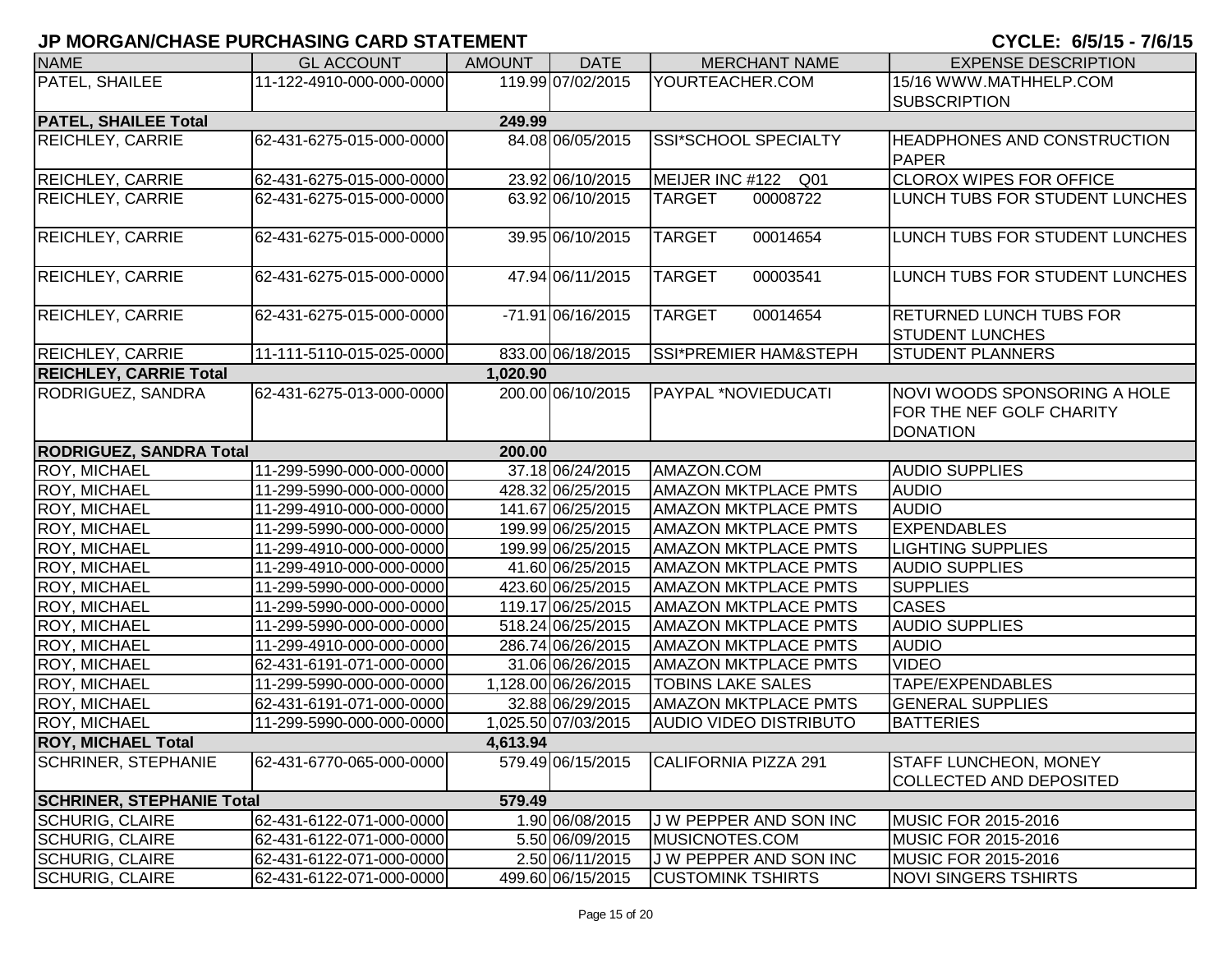| <b>NAME</b>                              | <b>GL ACCOUNT</b>        | <b>AMOUNT</b> | <b>DATE</b>         | <b>MERCHANT NAME</b>          | <b>EXPENSE DESCRIPTION</b>         |  |
|------------------------------------------|--------------------------|---------------|---------------------|-------------------------------|------------------------------------|--|
| PATEL, SHAILEE                           | 11-122-4910-000-000-0000 |               | 119.99 07/02/2015   | YOURTEACHER.COM               | 15/16 WWW.MATHHELP.COM             |  |
|                                          |                          |               |                     |                               | <b>SUBSCRIPTION</b>                |  |
| <b>PATEL, SHAILEE Total</b>              |                          | 249.99        |                     |                               |                                    |  |
| <b>REICHLEY, CARRIE</b>                  | 62-431-6275-015-000-0000 |               | 84.08 06/05/2015    | SSI*SCHOOL SPECIALTY          | <b>HEADPHONES AND CONSTRUCTION</b> |  |
|                                          |                          |               |                     |                               | <b>PAPER</b>                       |  |
| <b>REICHLEY, CARRIE</b>                  | 62-431-6275-015-000-0000 |               | 23.92 06/10/2015    | MEIJER INC #122 Q01           | <b>CLOROX WIPES FOR OFFICE</b>     |  |
| <b>REICHLEY, CARRIE</b>                  | 62-431-6275-015-000-0000 |               | 63.92 06/10/2015    | <b>TARGET</b><br>00008722     | LUNCH TUBS FOR STUDENT LUNCHES     |  |
|                                          |                          |               |                     |                               |                                    |  |
| <b>REICHLEY, CARRIE</b>                  | 62-431-6275-015-000-0000 |               | 39.95 06/10/2015    | <b>TARGET</b><br>00014654     | LUNCH TUBS FOR STUDENT LUNCHES     |  |
|                                          |                          |               |                     |                               |                                    |  |
| <b>REICHLEY, CARRIE</b>                  | 62-431-6275-015-000-0000 |               | 47.94 06/11/2015    | <b>TARGET</b><br>00003541     | LUNCH TUBS FOR STUDENT LUNCHES     |  |
|                                          |                          |               |                     |                               |                                    |  |
| <b>REICHLEY, CARRIE</b>                  | 62-431-6275-015-000-0000 |               | -71.91 06/16/2015   | <b>TARGET</b><br>00014654     | <b>RETURNED LUNCH TUBS FOR</b>     |  |
|                                          |                          |               |                     |                               | <b>STUDENT LUNCHES</b>             |  |
| <b>REICHLEY, CARRIE</b>                  | 11-111-5110-015-025-0000 |               | 833.00 06/18/2015   | SSI*PREMIER HAM&STEPH         | <b>STUDENT PLANNERS</b>            |  |
| <b>REICHLEY, CARRIE Total</b>            |                          | 1,020.90      |                     |                               |                                    |  |
| RODRIGUEZ, SANDRA                        | 62-431-6275-013-000-0000 |               | 200.00 06/10/2015   | PAYPAL *NOVIEDUCATI           | NOVI WOODS SPONSORING A HOLE       |  |
|                                          |                          |               |                     |                               | FOR THE NEF GOLF CHARITY           |  |
|                                          |                          |               |                     |                               | <b>DONATION</b>                    |  |
| <b>RODRIGUEZ, SANDRA Total</b><br>200.00 |                          |               |                     |                               |                                    |  |
| <b>ROY, MICHAEL</b>                      | 11-299-5990-000-000-0000 |               | 37.18 06/24/2015    | AMAZON.COM                    | <b>AUDIO SUPPLIES</b>              |  |
| <b>ROY, MICHAEL</b>                      | 11-299-5990-000-000-0000 |               | 428.32 06/25/2015   | <b>AMAZON MKTPLACE PMTS</b>   | <b>AUDIO</b>                       |  |
| <b>ROY, MICHAEL</b>                      | 11-299-4910-000-000-0000 |               | 141.67 06/25/2015   | <b>AMAZON MKTPLACE PMTS</b>   | <b>AUDIO</b>                       |  |
| <b>ROY, MICHAEL</b>                      | 11-299-5990-000-000-0000 |               | 199.99 06/25/2015   | <b>AMAZON MKTPLACE PMTS</b>   | <b>EXPENDABLES</b>                 |  |
| <b>ROY, MICHAEL</b>                      | 11-299-4910-000-000-0000 |               | 199.99 06/25/2015   | <b>AMAZON MKTPLACE PMTS</b>   | <b>LIGHTING SUPPLIES</b>           |  |
| <b>ROY, MICHAEL</b>                      | 11-299-4910-000-000-0000 |               | 41.60 06/25/2015    | <b>AMAZON MKTPLACE PMTS</b>   | <b>AUDIO SUPPLIES</b>              |  |
| <b>ROY, MICHAEL</b>                      | 11-299-5990-000-000-0000 |               | 423.60 06/25/2015   | <b>AMAZON MKTPLACE PMTS</b>   | <b>SUPPLIES</b>                    |  |
| <b>ROY, MICHAEL</b>                      | 11-299-5990-000-000-0000 |               | 119.17 06/25/2015   | <b>AMAZON MKTPLACE PMTS</b>   | <b>CASES</b>                       |  |
| <b>ROY, MICHAEL</b>                      | 11-299-5990-000-000-0000 |               | 518.24 06/25/2015   | <b>AMAZON MKTPLACE PMTS</b>   | <b>AUDIO SUPPLIES</b>              |  |
| ROY, MICHAEL                             | 11-299-4910-000-000-0000 |               | 286.74 06/26/2015   | <b>AMAZON MKTPLACE PMTS</b>   | <b>AUDIO</b>                       |  |
| ROY, MICHAEL                             | 62-431-6191-071-000-0000 |               | 31.06 06/26/2015    | <b>AMAZON MKTPLACE PMTS</b>   | <b>VIDEO</b>                       |  |
| <b>ROY, MICHAEL</b>                      | 11-299-5990-000-000-0000 |               | 1,128.00 06/26/2015 | <b>TOBINS LAKE SALES</b>      | TAPE/EXPENDABLES                   |  |
| <b>ROY, MICHAEL</b>                      | 62-431-6191-071-000-0000 |               | 32.88 06/29/2015    | <b>AMAZON MKTPLACE PMTS</b>   | <b>GENERAL SUPPLIES</b>            |  |
|                                          | 11-299-5990-000-000-0000 |               | 1,025.50 07/03/2015 | <b>AUDIO VIDEO DISTRIBUTO</b> | <b>BATTERIES</b>                   |  |
| <b>ROY, MICHAEL</b>                      |                          |               |                     |                               |                                    |  |
| <b>ROY, MICHAEL Total</b>                |                          | 4,613.94      |                     |                               |                                    |  |
| <b>SCHRINER, STEPHANIE</b>               | 62-431-6770-065-000-0000 |               | 579.49 06/15/2015   | CALIFORNIA PIZZA 291          | <b>STAFF LUNCHEON, MONEY</b>       |  |
|                                          |                          |               |                     |                               | <b>COLLECTED AND DEPOSITED</b>     |  |
| <b>SCHRINER, STEPHANIE Total</b>         |                          | 579.49        |                     |                               |                                    |  |
| <b>SCHURIG, CLAIRE</b>                   | 62-431-6122-071-000-0000 |               | 1.90 06/08/2015     | J W PEPPER AND SON INC        | <b>MUSIC FOR 2015-2016</b>         |  |
| <b>SCHURIG, CLAIRE</b>                   | 62-431-6122-071-000-0000 |               | 5.50 06/09/2015     | MUSICNOTES.COM                | <b>MUSIC FOR 2015-2016</b>         |  |
| <b>SCHURIG, CLAIRE</b>                   | 62-431-6122-071-000-0000 |               | 2.50 06/11/2015     | J W PEPPER AND SON INC        | MUSIC FOR 2015-2016                |  |
| <b>SCHURIG, CLAIRE</b>                   | 62-431-6122-071-000-0000 |               | 499.60 06/15/2015   | <b>CUSTOMINK TSHIRTS</b>      | <b>NOVI SINGERS TSHIRTS</b>        |  |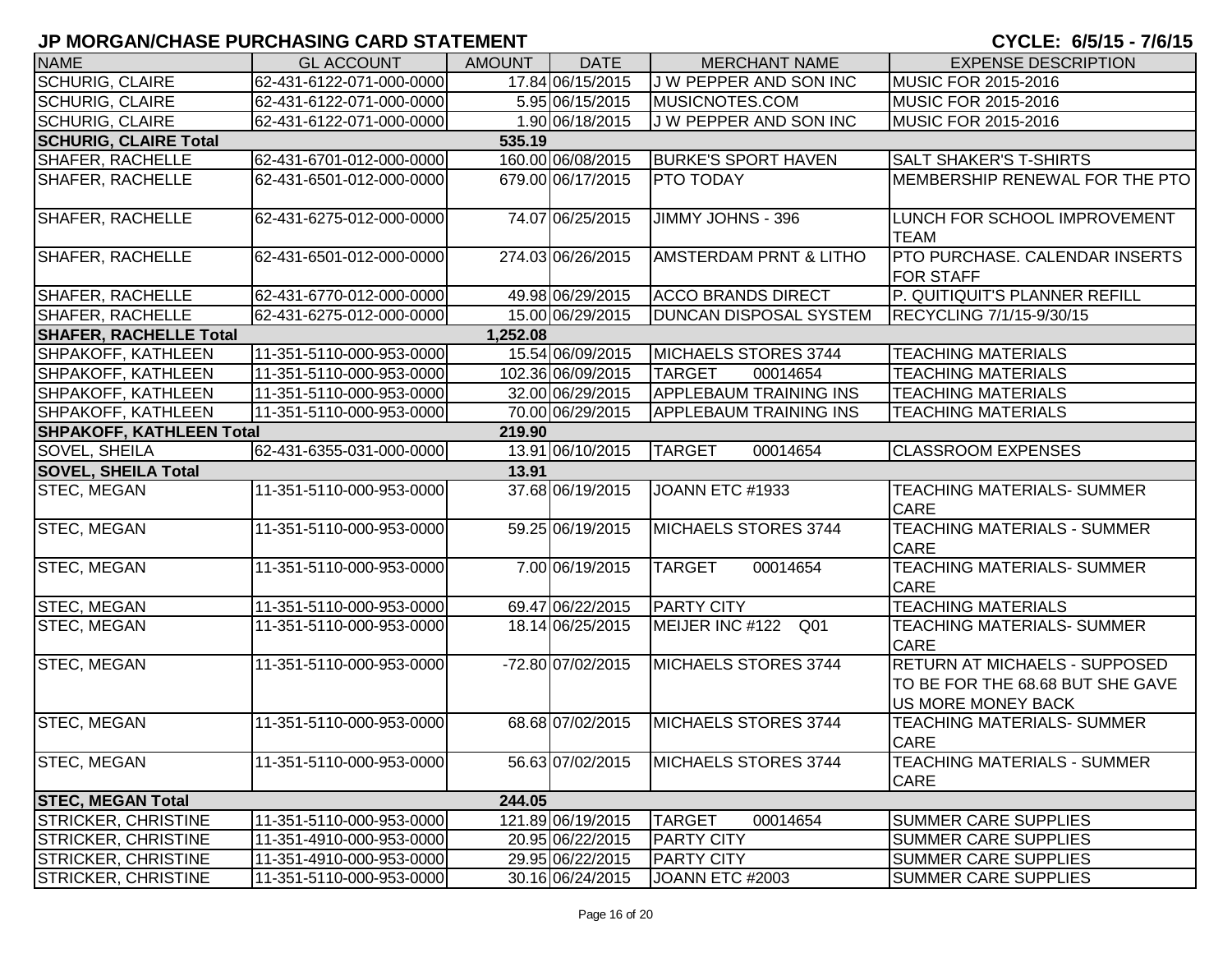| <b>NAME</b>                               | <b>GL ACCOUNT</b>        | <b>AMOUNT</b> | <b>DATE</b>       | <b>MERCHANT NAME</b>               | <b>EXPENSE DESCRIPTION</b>                                                                     |  |
|-------------------------------------------|--------------------------|---------------|-------------------|------------------------------------|------------------------------------------------------------------------------------------------|--|
| <b>SCHURIG, CLAIRE</b>                    | 62-431-6122-071-000-0000 |               | 17.84 06/15/2015  | J W PEPPER AND SON INC             | <b>MUSIC FOR 2015-2016</b>                                                                     |  |
| <b>SCHURIG, CLAIRE</b>                    | 62-431-6122-071-000-0000 |               | 5.95 06/15/2015   | MUSICNOTES.COM                     | <b>MUSIC FOR 2015-2016</b>                                                                     |  |
| <b>SCHURIG, CLAIRE</b>                    | 62-431-6122-071-000-0000 |               | 1.90 06/18/2015   | J W PEPPER AND SON INC             | MUSIC FOR 2015-2016                                                                            |  |
| <b>SCHURIG, CLAIRE Total</b>              |                          | 535.19        |                   |                                    |                                                                                                |  |
| <b>SHAFER, RACHELLE</b>                   | 62-431-6701-012-000-0000 |               | 160.00 06/08/2015 | <b>BURKE'S SPORT HAVEN</b>         | <b>SALT SHAKER'S T-SHIRTS</b>                                                                  |  |
| <b>SHAFER, RACHELLE</b>                   | 62-431-6501-012-000-0000 |               | 679.00 06/17/2015 | <b>PTO TODAY</b>                   | MEMBERSHIP RENEWAL FOR THE PTO                                                                 |  |
| <b>SHAFER, RACHELLE</b>                   | 62-431-6275-012-000-0000 |               | 74.07 06/25/2015  | JIMMY JOHNS - 396                  | LUNCH FOR SCHOOL IMPROVEMENT<br><b>TEAM</b>                                                    |  |
| <b>SHAFER, RACHELLE</b>                   | 62-431-6501-012-000-0000 |               | 274.03 06/26/2015 | <b>AMSTERDAM PRNT &amp; LITHO</b>  | <b>PTO PURCHASE. CALENDAR INSERTS</b><br><b>FOR STAFF</b>                                      |  |
| SHAFER, RACHELLE                          | 62-431-6770-012-000-0000 |               | 49.98 06/29/2015  | <b>ACCO BRANDS DIRECT</b>          | P. QUITIQUIT'S PLANNER REFILL                                                                  |  |
| <b>SHAFER, RACHELLE</b>                   | 62-431-6275-012-000-0000 |               | 15.00 06/29/2015  | <b>DUNCAN DISPOSAL SYSTEM</b>      | RECYCLING 7/1/15-9/30/15                                                                       |  |
| <b>SHAFER, RACHELLE Total</b>             |                          | 1,252.08      |                   |                                    |                                                                                                |  |
| SHPAKOFF, KATHLEEN                        | 11-351-5110-000-953-0000 |               | 15.54 06/09/2015  | MICHAELS STORES 3744               | <b>TEACHING MATERIALS</b>                                                                      |  |
| SHPAKOFF, KATHLEEN                        | 11-351-5110-000-953-0000 |               | 102.36 06/09/2015 | <b>TARGET</b><br>00014654          | <b>TEACHING MATERIALS</b>                                                                      |  |
| SHPAKOFF, KATHLEEN                        | 11-351-5110-000-953-0000 |               | 32.00 06/29/2015  | <b>APPLEBAUM TRAINING INS</b>      | <b>TEACHING MATERIALS</b>                                                                      |  |
| SHPAKOFF, KATHLEEN                        | 11-351-5110-000-953-0000 |               | 70.00 06/29/2015  | <b>APPLEBAUM TRAINING INS</b>      | <b>TEACHING MATERIALS</b>                                                                      |  |
| <b>SHPAKOFF, KATHLEEN Total</b><br>219.90 |                          |               |                   |                                    |                                                                                                |  |
| <b>SOVEL, SHEILA</b>                      | 62-431-6355-031-000-0000 |               | 13.91 06/10/2015  | <b>TARGET</b><br>00014654          | <b>CLASSROOM EXPENSES</b>                                                                      |  |
| <b>SOVEL, SHEILA Total</b><br>13.91       |                          |               |                   |                                    |                                                                                                |  |
| <b>STEC, MEGAN</b>                        | 11-351-5110-000-953-0000 |               | 37.68 06/19/2015  | JOANN ETC #1933                    | TEACHING MATERIALS- SUMMER<br><b>CARE</b>                                                      |  |
| <b>STEC, MEGAN</b>                        | 11-351-5110-000-953-0000 |               | 59.25 06/19/2015  | MICHAELS STORES 3744               | <b>TEACHING MATERIALS - SUMMER</b><br><b>CARE</b>                                              |  |
| <b>STEC, MEGAN</b>                        | 11-351-5110-000-953-0000 |               | 7.00 06/19/2015   | <b>TARGET</b><br>00014654          | TEACHING MATERIALS- SUMMER<br><b>CARE</b>                                                      |  |
| <b>STEC, MEGAN</b>                        | 11-351-5110-000-953-0000 |               | 69.47 06/22/2015  | <b>PARTY CITY</b>                  | <b>TEACHING MATERIALS</b>                                                                      |  |
| <b>STEC, MEGAN</b>                        | 11-351-5110-000-953-0000 |               | 18.14 06/25/2015  | MEIJER INC #122<br>Q <sub>01</sub> | TEACHING MATERIALS- SUMMER<br><b>CARE</b>                                                      |  |
| <b>STEC, MEGAN</b>                        | 11-351-5110-000-953-0000 |               | -72.80 07/02/2015 | MICHAELS STORES 3744               | <b>RETURN AT MICHAELS - SUPPOSED</b><br>TO BE FOR THE 68.68 BUT SHE GAVE<br>US MORE MONEY BACK |  |
| <b>STEC, MEGAN</b>                        | 11-351-5110-000-953-0000 |               | 68.68 07/02/2015  | MICHAELS STORES 3744               | TEACHING MATERIALS- SUMMER<br><b>CARE</b>                                                      |  |
| <b>STEC, MEGAN</b>                        | 11-351-5110-000-953-0000 |               | 56.63 07/02/2015  | MICHAELS STORES 3744               | <b>TEACHING MATERIALS - SUMMER</b><br><b>CARE</b>                                              |  |
| <b>STEC, MEGAN Total</b>                  |                          | 244.05        |                   |                                    |                                                                                                |  |
| <b>STRICKER, CHRISTINE</b>                | 11-351-5110-000-953-0000 |               | 121.89 06/19/2015 | <b>TARGET</b><br>00014654          | <b>SUMMER CARE SUPPLIES</b>                                                                    |  |
| <b>STRICKER, CHRISTINE</b>                | 11-351-4910-000-953-0000 |               | 20.95 06/22/2015  | <b>PARTY CITY</b>                  | <b>SUMMER CARE SUPPLIES</b>                                                                    |  |
| <b>STRICKER, CHRISTINE</b>                | 11-351-4910-000-953-0000 |               | 29.95 06/22/2015  | <b>PARTY CITY</b>                  | <b>SUMMER CARE SUPPLIES</b>                                                                    |  |
| <b>STRICKER, CHRISTINE</b>                | 11-351-5110-000-953-0000 |               | 30.16 06/24/2015  | JOANN ETC #2003                    | <b>SUMMER CARE SUPPLIES</b>                                                                    |  |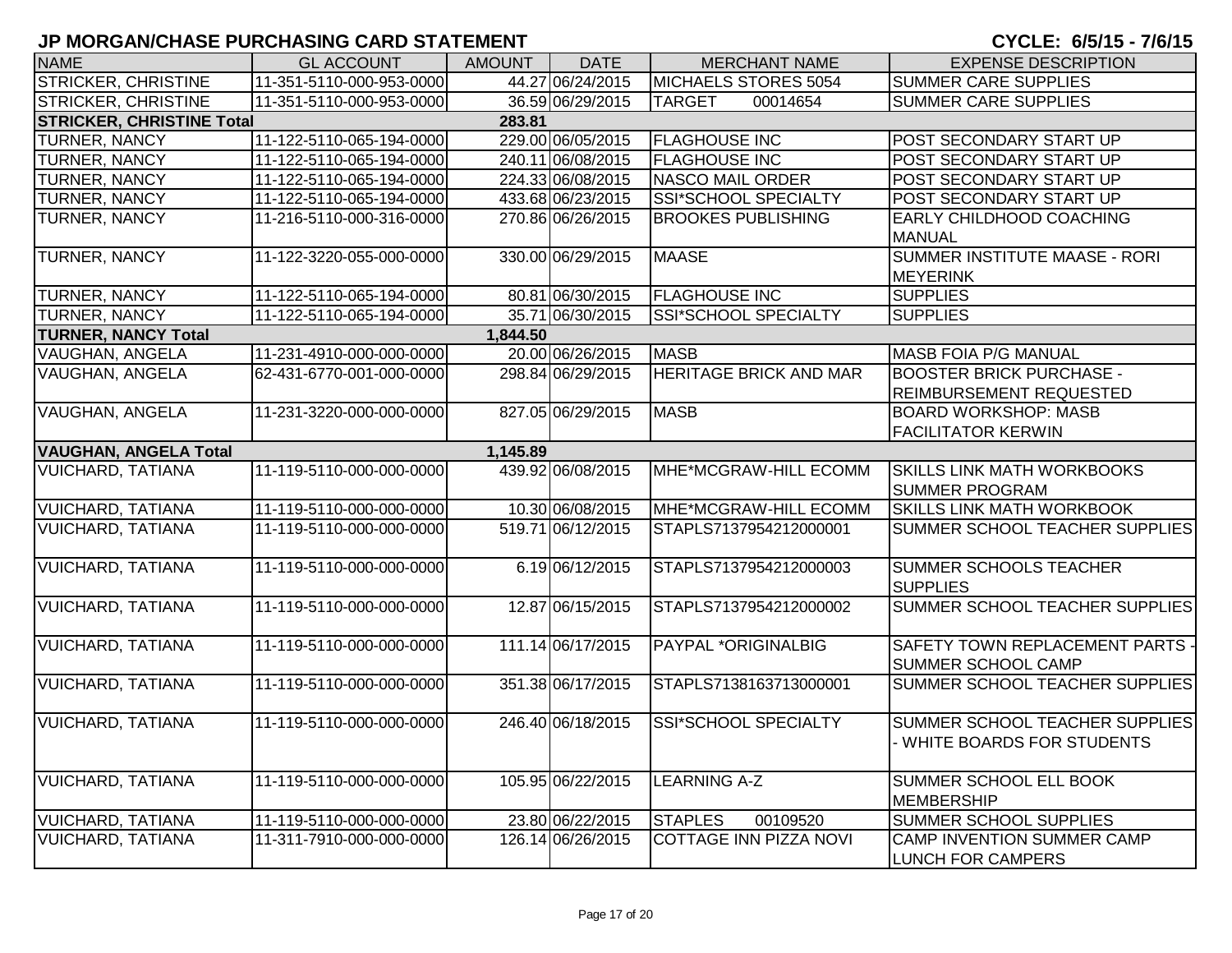| <b>NAME</b>                      | <b>GL ACCOUNT</b>        | <b>AMOUNT</b> | <b>DATE</b>       | <b>MERCHANT NAME</b>          | <b>EXPENSE DESCRIPTION</b>                                          |
|----------------------------------|--------------------------|---------------|-------------------|-------------------------------|---------------------------------------------------------------------|
| <b>STRICKER, CHRISTINE</b>       | 11-351-5110-000-953-0000 |               | 44.27 06/24/2015  | MICHAELS STORES 5054          | <b>SUMMER CARE SUPPLIES</b>                                         |
| <b>STRICKER, CHRISTINE</b>       | 11-351-5110-000-953-0000 |               | 36.59 06/29/2015  | <b>TARGET</b><br>00014654     | <b>SUMMER CARE SUPPLIES</b>                                         |
| <b>STRICKER, CHRISTINE Total</b> |                          | 283.81        |                   |                               |                                                                     |
| <b>TURNER, NANCY</b>             | 11-122-5110-065-194-0000 |               | 229.00 06/05/2015 | <b>FLAGHOUSE INC</b>          | POST SECONDARY START UP                                             |
| <b>TURNER, NANCY</b>             | 11-122-5110-065-194-0000 |               | 240.11 06/08/2015 | <b>FLAGHOUSE INC</b>          | POST SECONDARY START UP                                             |
| <b>TURNER, NANCY</b>             | 11-122-5110-065-194-0000 |               | 224.33 06/08/2015 | NASCO MAIL ORDER              | POST SECONDARY START UP                                             |
| <b>TURNER, NANCY</b>             | 11-122-5110-065-194-0000 |               | 433.68 06/23/2015 | SSI*SCHOOL SPECIALTY          | POST SECONDARY START UP                                             |
| <b>TURNER, NANCY</b>             | 11-216-5110-000-316-0000 |               | 270.86 06/26/2015 | <b>BROOKES PUBLISHING</b>     | EARLY CHILDHOOD COACHING<br><b>MANUAL</b>                           |
| TURNER, NANCY                    | 11-122-3220-055-000-0000 |               | 330.00 06/29/2015 | <b>MAASE</b>                  | SUMMER INSTITUTE MAASE - RORI<br><b>MEYERINK</b>                    |
| <b>TURNER, NANCY</b>             | 11-122-5110-065-194-0000 |               | 80.81 06/30/2015  | <b>FLAGHOUSE INC</b>          | <b>SUPPLIES</b>                                                     |
| <b>TURNER, NANCY</b>             | 11-122-5110-065-194-0000 |               | 35.71 06/30/2015  | SSI*SCHOOL SPECIALTY          | <b>SUPPLIES</b>                                                     |
| <b>TURNER, NANCY Total</b>       |                          | 1,844.50      |                   |                               |                                                                     |
| <b>VAUGHAN, ANGELA</b>           | 11-231-4910-000-000-0000 |               | 20.00 06/26/2015  | <b>MASB</b>                   | MASB FOIA P/G MANUAL                                                |
| VAUGHAN, ANGELA                  | 62-431-6770-001-000-0000 |               | 298.84 06/29/2015 | HERITAGE BRICK AND MAR        | <b>BOOSTER BRICK PURCHASE -</b><br><b>REIMBURSEMENT REQUESTED</b>   |
| VAUGHAN, ANGELA                  | 11-231-3220-000-000-0000 |               | 827.05 06/29/2015 | <b>MASB</b>                   | <b>BOARD WORKSHOP: MASB</b><br><b>FACILITATOR KERWIN</b>            |
| <b>VAUGHAN, ANGELA Total</b>     |                          | 1,145.89      |                   |                               |                                                                     |
| <b>VUICHARD, TATIANA</b>         | 11-119-5110-000-000-0000 |               | 439.92 06/08/2015 | MHE*MCGRAW-HILL ECOMM         | <b>SKILLS LINK MATH WORKBOOKS</b><br><b>SUMMER PROGRAM</b>          |
| <b>VUICHARD, TATIANA</b>         | 11-119-5110-000-000-0000 |               | 10.30 06/08/2015  | MHE*MCGRAW-HILL ECOMM         | <b>SKILLS LINK MATH WORKBOOK</b>                                    |
| <b>VUICHARD, TATIANA</b>         | 11-119-5110-000-000-0000 |               | 519.71 06/12/2015 | STAPLS7137954212000001        | SUMMER SCHOOL TEACHER SUPPLIES                                      |
| <b>VUICHARD, TATIANA</b>         | 11-119-5110-000-000-0000 |               | 6.19 06/12/2015   | STAPLS7137954212000003        | <b>SUMMER SCHOOLS TEACHER</b><br><b>SUPPLIES</b>                    |
| <b>VUICHARD, TATIANA</b>         | 11-119-5110-000-000-0000 |               | 12.87 06/15/2015  | STAPLS7137954212000002        | SUMMER SCHOOL TEACHER SUPPLIES                                      |
| <b>VUICHARD, TATIANA</b>         | 11-119-5110-000-000-0000 |               | 111.14 06/17/2015 | PAYPAL *ORIGINALBIG           | <b>SAFETY TOWN REPLACEMENT PARTS -</b><br><b>SUMMER SCHOOL CAMP</b> |
| <b>VUICHARD, TATIANA</b>         | 11-119-5110-000-000-0000 |               | 351.38 06/17/2015 | STAPLS7138163713000001        | SUMMER SCHOOL TEACHER SUPPLIES                                      |
| <b>VUICHARD, TATIANA</b>         | 11-119-5110-000-000-0000 |               | 246.40 06/18/2015 | SSI*SCHOOL SPECIALTY          | SUMMER SCHOOL TEACHER SUPPLIES<br>- WHITE BOARDS FOR STUDENTS       |
| <b>VUICHARD, TATIANA</b>         | 11-119-5110-000-000-0000 |               | 105.95 06/22/2015 | <b>LEARNING A-Z</b>           | <b>SUMMER SCHOOL ELL BOOK</b><br><b>MEMBERSHIP</b>                  |
| <b>VUICHARD, TATIANA</b>         | 11-119-5110-000-000-0000 |               | 23.80 06/22/2015  | 00109520<br><b>STAPLES</b>    | <b>SUMMER SCHOOL SUPPLIES</b>                                       |
| <b>VUICHARD, TATIANA</b>         | 11-311-7910-000-000-0000 |               | 126.14 06/26/2015 | <b>COTTAGE INN PIZZA NOVI</b> | CAMP INVENTION SUMMER CAMP<br><b>LUNCH FOR CAMPERS</b>              |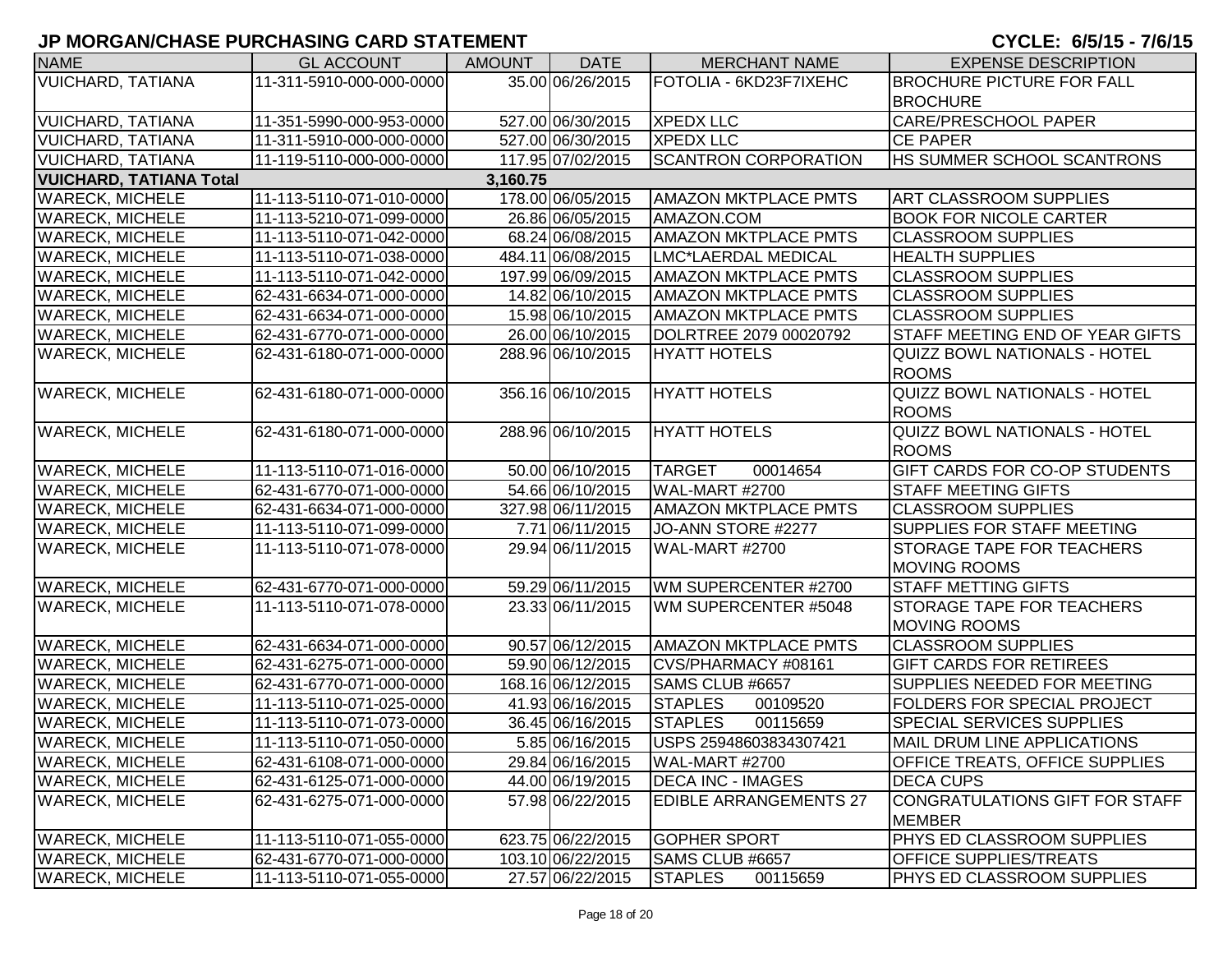| <b>NAME</b>                    | <b>GL ACCOUNT</b>        | <b>AMOUNT</b> | <b>DATE</b>       | <b>MERCHANT NAME</b>          | <b>EXPENSE DESCRIPTION</b>            |
|--------------------------------|--------------------------|---------------|-------------------|-------------------------------|---------------------------------------|
| <b>VUICHARD, TATIANA</b>       | 11-311-5910-000-000-0000 |               | 35.00 06/26/2015  | FOTOLIA - 6KD23F7IXEHC        | <b>BROCHURE PICTURE FOR FALL</b>      |
|                                |                          |               |                   |                               | <b>BROCHURE</b>                       |
| <b>VUICHARD, TATIANA</b>       | 11-351-5990-000-953-0000 |               | 527.00 06/30/2015 | <b>XPEDX LLC</b>              | <b>CARE/PRESCHOOL PAPER</b>           |
| <b>VUICHARD, TATIANA</b>       | 11-311-5910-000-000-0000 |               | 527.00 06/30/2015 | <b>XPEDX LLC</b>              | <b>CE PAPER</b>                       |
| <b>VUICHARD, TATIANA</b>       | 11-119-5110-000-000-0000 |               | 117.95 07/02/2015 | <b>SCANTRON CORPORATION</b>   | <b>HS SUMMER SCHOOL SCANTRONS</b>     |
| <b>VUICHARD, TATIANA Total</b> |                          | 3,160.75      |                   |                               |                                       |
| <b>WARECK, MICHELE</b>         | 11-113-5110-071-010-0000 |               | 178.00 06/05/2015 | <b>AMAZON MKTPLACE PMTS</b>   | <b>ART CLASSROOM SUPPLIES</b>         |
| <b>WARECK, MICHELE</b>         | 11-113-5210-071-099-0000 |               | 26.86 06/05/2015  | AMAZON.COM                    | <b>BOOK FOR NICOLE CARTER</b>         |
| <b>WARECK, MICHELE</b>         | 11-113-5110-071-042-0000 |               | 68.24 06/08/2015  | <b>AMAZON MKTPLACE PMTS</b>   | <b>CLASSROOM SUPPLIES</b>             |
| <b>WARECK, MICHELE</b>         | 11-113-5110-071-038-0000 |               | 484.11 06/08/2015 | LMC*LAERDAL MEDICAL           | <b>HEALTH SUPPLIES</b>                |
| <b>WARECK, MICHELE</b>         | 11-113-5110-071-042-0000 |               | 197.99 06/09/2015 | <b>AMAZON MKTPLACE PMTS</b>   | <b>CLASSROOM SUPPLIES</b>             |
| <b>WARECK, MICHELE</b>         | 62-431-6634-071-000-0000 |               | 14.82 06/10/2015  | <b>AMAZON MKTPLACE PMTS</b>   | <b>CLASSROOM SUPPLIES</b>             |
| <b>WARECK, MICHELE</b>         | 62-431-6634-071-000-0000 |               | 15.98 06/10/2015  | <b>AMAZON MKTPLACE PMTS</b>   | <b>CLASSROOM SUPPLIES</b>             |
| <b>WARECK, MICHELE</b>         | 62-431-6770-071-000-0000 |               | 26.00 06/10/2015  | DOLRTREE 2079 00020792        | STAFF MEETING END OF YEAR GIFTS       |
| <b>WARECK, MICHELE</b>         | 62-431-6180-071-000-0000 |               | 288.96 06/10/2015 | <b>HYATT HOTELS</b>           | <b>QUIZZ BOWL NATIONALS - HOTEL</b>   |
|                                |                          |               |                   |                               | <b>ROOMS</b>                          |
| <b>WARECK, MICHELE</b>         | 62-431-6180-071-000-0000 |               | 356.16 06/10/2015 | <b>HYATT HOTELS</b>           | QUIZZ BOWL NATIONALS - HOTEL          |
|                                |                          |               |                   |                               | <b>ROOMS</b>                          |
| <b>WARECK, MICHELE</b>         | 62-431-6180-071-000-0000 |               | 288.96 06/10/2015 | <b>HYATT HOTELS</b>           | QUIZZ BOWL NATIONALS - HOTEL          |
|                                |                          |               |                   |                               | <b>ROOMS</b>                          |
| <b>WARECK, MICHELE</b>         | 11-113-5110-071-016-0000 |               | 50.00 06/10/2015  | <b>TARGET</b><br>00014654     | <b>GIFT CARDS FOR CO-OP STUDENTS</b>  |
| <b>WARECK, MICHELE</b>         | 62-431-6770-071-000-0000 |               | 54.66 06/10/2015  | WAL-MART #2700                | <b>STAFF MEETING GIFTS</b>            |
| <b>WARECK, MICHELE</b>         | 62-431-6634-071-000-0000 |               | 327.98 06/11/2015 | <b>AMAZON MKTPLACE PMTS</b>   | <b>CLASSROOM SUPPLIES</b>             |
| <b>WARECK, MICHELE</b>         | 11-113-5110-071-099-0000 |               | 7.71 06/11/2015   | JO-ANN STORE #2277            | SUPPLIES FOR STAFF MEETING            |
| <b>WARECK, MICHELE</b>         | 11-113-5110-071-078-0000 |               | 29.94 06/11/2015  | <b>WAL-MART #2700</b>         | <b>STORAGE TAPE FOR TEACHERS</b>      |
|                                |                          |               |                   |                               | <b>MOVING ROOMS</b>                   |
| <b>WARECK, MICHELE</b>         | 62-431-6770-071-000-0000 |               | 59.29 06/11/2015  | WM SUPERCENTER #2700          | <b>STAFF METTING GIFTS</b>            |
| <b>WARECK, MICHELE</b>         | 11-113-5110-071-078-0000 |               | 23.33 06/11/2015  | WM SUPERCENTER #5048          | <b>STORAGE TAPE FOR TEACHERS</b>      |
|                                |                          |               |                   |                               | <b>MOVING ROOMS</b>                   |
| <b>WARECK, MICHELE</b>         | 62-431-6634-071-000-0000 |               | 90.57 06/12/2015  | <b>AMAZON MKTPLACE PMTS</b>   | <b>CLASSROOM SUPPLIES</b>             |
| <b>WARECK, MICHELE</b>         | 62-431-6275-071-000-0000 |               | 59.90 06/12/2015  | CVS/PHARMACY #08161           | <b>GIFT CARDS FOR RETIREES</b>        |
| <b>WARECK, MICHELE</b>         | 62-431-6770-071-000-0000 |               | 168.16 06/12/2015 | SAMS CLUB #6657               | SUPPLIES NEEDED FOR MEETING           |
| <b>WARECK, MICHELE</b>         | 11-113-5110-071-025-0000 |               | 41.93 06/16/2015  | <b>STAPLES</b><br>00109520    | <b>FOLDERS FOR SPECIAL PROJECT</b>    |
| <b>WARECK, MICHELE</b>         | 11-113-5110-071-073-0000 |               | 36.45 06/16/2015  | <b>STAPLES</b><br>00115659    | <b>SPECIAL SERVICES SUPPLIES</b>      |
| <b>WARECK, MICHELE</b>         | 11-113-5110-071-050-0000 |               | 5.85 06/16/2015   | USPS 25948603834307421        | MAIL DRUM LINE APPLICATIONS           |
| <b>WARECK, MICHELE</b>         | 62-431-6108-071-000-0000 |               | 29.84 06/16/2015  | WAL-MART #2700                | <b>OFFICE TREATS, OFFICE SUPPLIES</b> |
| <b>WARECK, MICHELE</b>         | 62-431-6125-071-000-0000 |               | 44.00 06/19/2015  | DECA INC - IMAGES             | <b>DECA CUPS</b>                      |
| <b>WARECK, MICHELE</b>         | 62-431-6275-071-000-0000 |               | 57.98 06/22/2015  | <b>EDIBLE ARRANGEMENTS 27</b> | CONGRATULATIONS GIFT FOR STAFF        |
|                                |                          |               |                   |                               | <b>MEMBER</b>                         |
| <b>WARECK, MICHELE</b>         | 11-113-5110-071-055-0000 |               | 623.75 06/22/2015 | <b>GOPHER SPORT</b>           | PHYS ED CLASSROOM SUPPLIES            |
| <b>WARECK, MICHELE</b>         | 62-431-6770-071-000-0000 |               | 103.10 06/22/2015 | SAMS CLUB #6657               | <b>OFFICE SUPPLIES/TREATS</b>         |
| <b>WARECK, MICHELE</b>         | 11-113-5110-071-055-0000 |               | 27.57 06/22/2015  | <b>STAPLES</b><br>00115659    | PHYS ED CLASSROOM SUPPLIES            |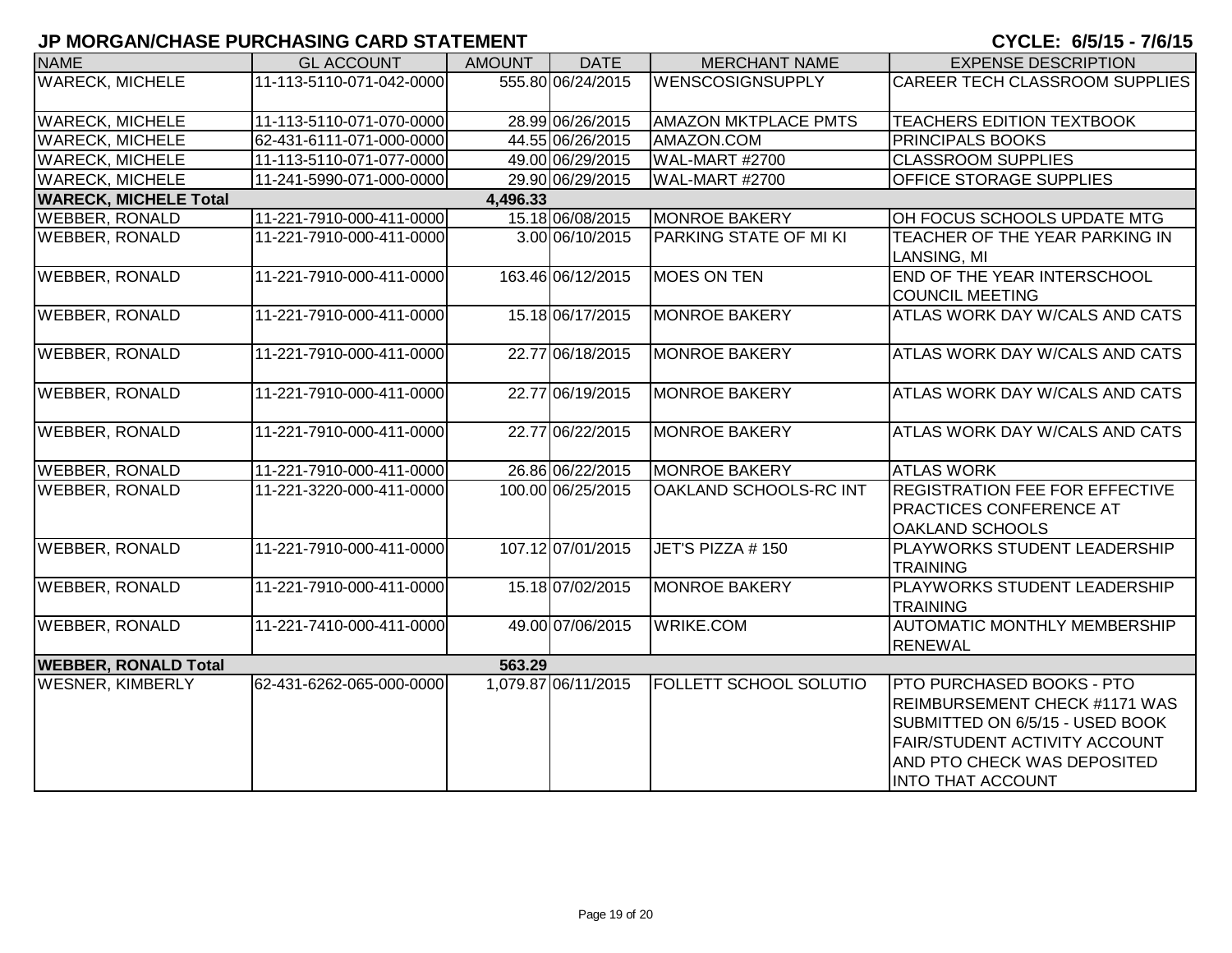| <b>NAME</b>                  | <b>GL ACCOUNT</b>        | <b>AMOUNT</b> | <b>DATE</b>         | <b>MERCHANT NAME</b>          | <b>EXPENSE DESCRIPTION</b>                                                                                                                                                                       |
|------------------------------|--------------------------|---------------|---------------------|-------------------------------|--------------------------------------------------------------------------------------------------------------------------------------------------------------------------------------------------|
| <b>WARECK, MICHELE</b>       | 11-113-5110-071-042-0000 |               | 555.80 06/24/2015   | WENSCOSIGNSUPPLY              | <b>CAREER TECH CLASSROOM SUPPLIES</b>                                                                                                                                                            |
| <b>WARECK, MICHELE</b>       | 11-113-5110-071-070-0000 |               | 28.99 06/26/2015    | <b>AMAZON MKTPLACE PMTS</b>   | <b>TEACHERS EDITION TEXTBOOK</b>                                                                                                                                                                 |
| <b>WARECK, MICHELE</b>       | 62-431-6111-071-000-0000 |               | 44.55 06/26/2015    | AMAZON.COM                    | PRINCIPALS BOOKS                                                                                                                                                                                 |
| <b>WARECK, MICHELE</b>       | 11-113-5110-071-077-0000 |               | 49.00 06/29/2015    | <b>WAL-MART #2700</b>         | <b>CLASSROOM SUPPLIES</b>                                                                                                                                                                        |
| <b>WARECK, MICHELE</b>       | 11-241-5990-071-000-0000 |               | 29.90 06/29/2015    | WAL-MART #2700                | OFFICE STORAGE SUPPLIES                                                                                                                                                                          |
| <b>WARECK, MICHELE Total</b> |                          | 4,496.33      |                     |                               |                                                                                                                                                                                                  |
| <b>WEBBER, RONALD</b>        | 11-221-7910-000-411-0000 |               | 15.18 06/08/2015    | <b>MONROE BAKERY</b>          | OH FOCUS SCHOOLS UPDATE MTG                                                                                                                                                                      |
| <b>WEBBER, RONALD</b>        | 11-221-7910-000-411-0000 |               | 3.00 06/10/2015     | PARKING STATE OF MI KI        | TEACHER OF THE YEAR PARKING IN<br>LANSING, MI                                                                                                                                                    |
| <b>WEBBER, RONALD</b>        | 11-221-7910-000-411-0000 |               | 163.46 06/12/2015   | <b>MOES ON TEN</b>            | END OF THE YEAR INTERSCHOOL<br><b>COUNCIL MEETING</b>                                                                                                                                            |
| <b>WEBBER, RONALD</b>        | 11-221-7910-000-411-0000 |               | 15.18 06/17/2015    | <b>MONROE BAKERY</b>          | ATLAS WORK DAY W/CALS AND CATS                                                                                                                                                                   |
| <b>WEBBER, RONALD</b>        | 11-221-7910-000-411-0000 |               | 22.77 06/18/2015    | <b>MONROE BAKERY</b>          | <b>ATLAS WORK DAY W/CALS AND CATS</b>                                                                                                                                                            |
| <b>WEBBER, RONALD</b>        | 11-221-7910-000-411-0000 |               | 22.77 06/19/2015    | <b>MONROE BAKERY</b>          | ATLAS WORK DAY W/CALS AND CATS                                                                                                                                                                   |
| <b>WEBBER, RONALD</b>        | 11-221-7910-000-411-0000 |               | 22.77 06/22/2015    | <b>MONROE BAKERY</b>          | <b>ATLAS WORK DAY W/CALS AND CATS</b>                                                                                                                                                            |
| <b>WEBBER, RONALD</b>        | 11-221-7910-000-411-0000 |               | 26.86 06/22/2015    | <b>MONROE BAKERY</b>          | <b>ATLAS WORK</b>                                                                                                                                                                                |
| <b>WEBBER, RONALD</b>        | 11-221-3220-000-411-0000 |               | 100.00 06/25/2015   | OAKLAND SCHOOLS-RC INT        | <b>REGISTRATION FEE FOR EFFECTIVE</b><br><b>PRACTICES CONFERENCE AT</b><br>OAKLAND SCHOOLS                                                                                                       |
| <b>WEBBER, RONALD</b>        | 11-221-7910-000-411-0000 |               | 107.12 07/01/2015   | JET'S PIZZA #150              | PLAYWORKS STUDENT LEADERSHIP<br><b>TRAINING</b>                                                                                                                                                  |
| <b>WEBBER, RONALD</b>        | 11-221-7910-000-411-0000 |               | 15.18 07/02/2015    | <b>MONROE BAKERY</b>          | PLAYWORKS STUDENT LEADERSHIP<br><b>TRAINING</b>                                                                                                                                                  |
| <b>WEBBER, RONALD</b>        | 11-221-7410-000-411-0000 |               | 49.00 07/06/2015    | <b>WRIKE.COM</b>              | <b>AUTOMATIC MONTHLY MEMBERSHIP</b><br><b>RENEWAL</b>                                                                                                                                            |
| <b>WEBBER, RONALD Total</b>  |                          | 563.29        |                     |                               |                                                                                                                                                                                                  |
| <b>WESNER, KIMBERLY</b>      | 62-431-6262-065-000-0000 |               | 1,079.87 06/11/2015 | <b>FOLLETT SCHOOL SOLUTIO</b> | <b>PTO PURCHASED BOOKS - PTO</b><br>REIMBURSEMENT CHECK #1171 WAS<br>SUBMITTED ON 6/5/15 - USED BOOK<br>FAIR/STUDENT ACTIVITY ACCOUNT<br>AND PTO CHECK WAS DEPOSITED<br><b>INTO THAT ACCOUNT</b> |